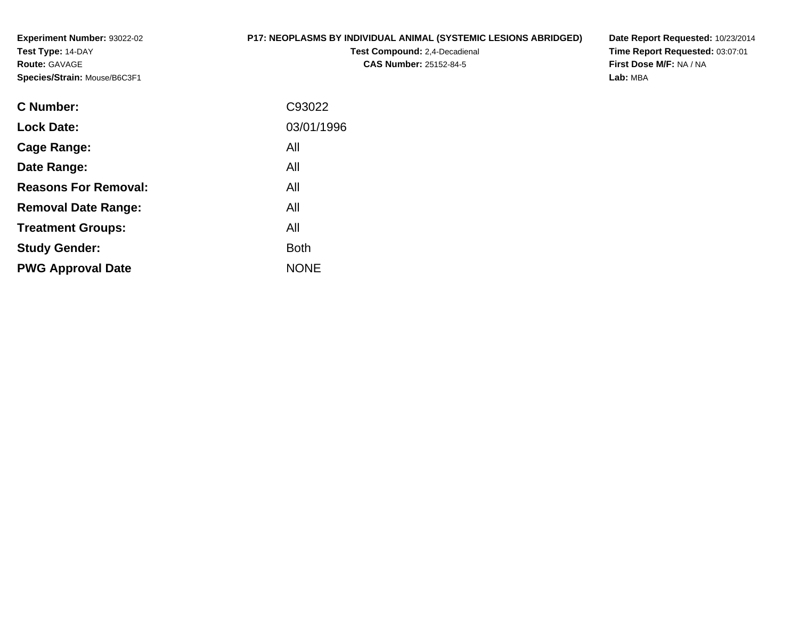**Experiment Number:** 93022-02**Test Type:** 14-DAY**Route:** GAVAGE**Species/Strain:** Mouse/B6C3F1

# **P17: NEOPLASMS BY INDIVIDUAL ANIMAL (SYSTEMIC LESIONS ABRIDGED)**

**Test Compound:** 2,4-Decadienal **CAS Number:** 25152-84-5

**Date Report Requested:** 10/23/2014**Time Report Requested:** 03:07:01**First Dose M/F:** NA / NA**Lab:** MBA

| C93022      |
|-------------|
| 03/01/1996  |
| All         |
| All         |
| All         |
| All         |
| All         |
| <b>Both</b> |
| <b>NONE</b> |
|             |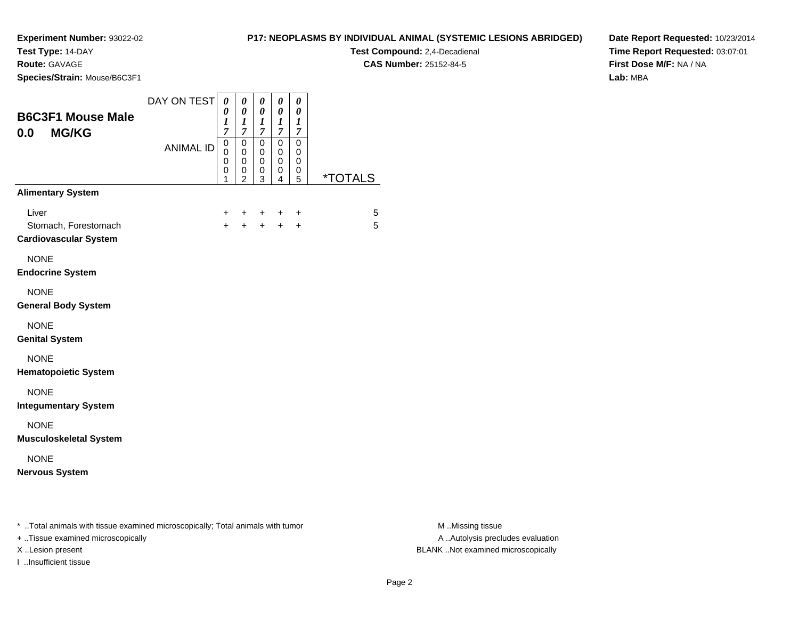**Test Type:** 14-DAY

**Route:** GAVAGE

I ..Insufficient tissue

**Species/Strain:** Mouse/B6C3F1

**Test Compound:** 2,4-Decadienal

**CAS Number:** 25152-84-5

**Date Report Requested:** 10/23/2014**Time Report Requested:** 03:07:01**First Dose M/F:** NA / NA**Lab:** MBA

| <b>B6C3F1 Mouse Male</b><br><b>MG/KG</b><br>0.0                                                                     | DAY ON TEST      | 0<br>0<br>1<br>$\overline{7}$              | 0<br>0<br>1<br>$\boldsymbol{7}$            | 0<br>0<br>1<br>7                          | 0<br>0<br>1<br>$\overline{7}$             | 0<br>0<br>1<br>7                |                       |
|---------------------------------------------------------------------------------------------------------------------|------------------|--------------------------------------------|--------------------------------------------|-------------------------------------------|-------------------------------------------|---------------------------------|-----------------------|
|                                                                                                                     | <b>ANIMAL ID</b> | 0<br>$\mathbf{0}$<br>$\mathbf 0$<br>0<br>1 | $\pmb{0}$<br>0<br>0<br>0<br>$\mathfrak{p}$ | $\mathbf 0$<br>0<br>$\mathbf 0$<br>0<br>3 | $\mathbf 0$<br>0<br>$\mathbf 0$<br>0<br>4 | $\mathbf 0$<br>0<br>0<br>0<br>5 | <i><b>*TOTALS</b></i> |
| <b>Alimentary System</b>                                                                                            |                  |                                            |                                            |                                           |                                           |                                 |                       |
| Liver<br>Stomach, Forestomach<br><b>Cardiovascular System</b>                                                       |                  | +<br>$+$                                   | +<br>$\ddot{}$                             | +<br>$+$                                  | ÷<br>$+$                                  | $\ddot{}$<br>$\ddot{}$          | 5<br>5                |
| <b>NONE</b><br><b>Endocrine System</b>                                                                              |                  |                                            |                                            |                                           |                                           |                                 |                       |
| <b>NONE</b><br><b>General Body System</b>                                                                           |                  |                                            |                                            |                                           |                                           |                                 |                       |
| <b>NONE</b><br><b>Genital System</b>                                                                                |                  |                                            |                                            |                                           |                                           |                                 |                       |
| <b>NONE</b><br><b>Hematopoietic System</b>                                                                          |                  |                                            |                                            |                                           |                                           |                                 |                       |
| <b>NONE</b><br><b>Integumentary System</b>                                                                          |                  |                                            |                                            |                                           |                                           |                                 |                       |
| <b>NONE</b><br><b>Musculoskeletal System</b>                                                                        |                  |                                            |                                            |                                           |                                           |                                 |                       |
| <b>NONE</b><br><b>Nervous System</b>                                                                                |                  |                                            |                                            |                                           |                                           |                                 |                       |
| * Total animals with tissue examined microscopically; Total animals with tumor<br>+ Tissue examined microscopically |                  |                                            |                                            |                                           |                                           |                                 |                       |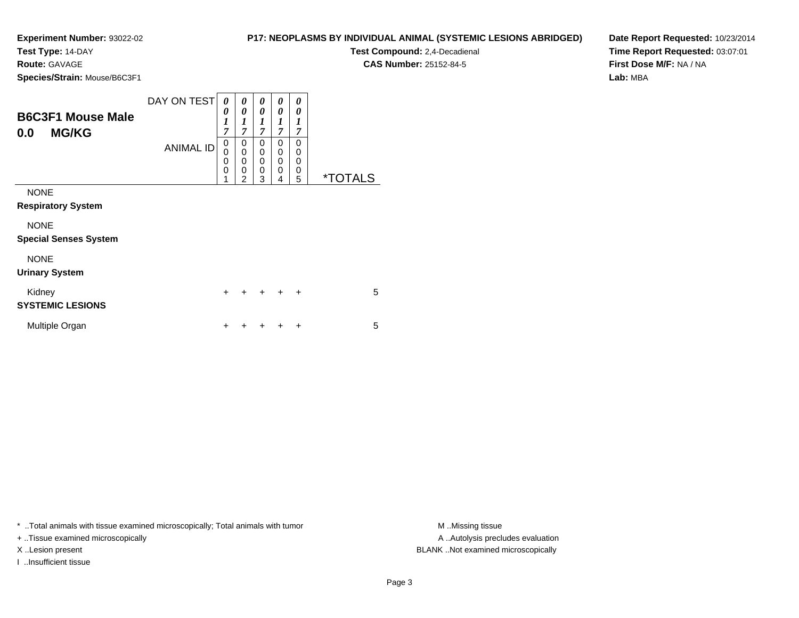**Test Type:** 14-DAY

**Route:** GAVAGE

**Species/Strain:** Mouse/B6C3F1

| <b>P17: NEOPLASMS BY INDIVIDUAL ANIMAL (SYSTEMIC LESIONS ABRIDGED)</b> |  |
|------------------------------------------------------------------------|--|
|------------------------------------------------------------------------|--|

**Test Compound:** 2,4-Decadienal **CAS Number:** 25152-84-5

**Date Report Requested:** 10/23/2014**Time Report Requested:** 03:07:01**First Dose M/F:** NA / NA**Lab:** MBA

| <b>B6C3F1 Mouse Male</b><br><b>MG/KG</b><br>0.0 | DAY ON TEST<br><b>ANIMAL ID</b> | 0<br>0<br>$\boldsymbol{l}$<br>$\overline{7}$<br>0<br>$\mathbf 0$<br>0<br>0 | 0<br>0<br>1<br>7<br>0<br>0<br>0<br>0 | 0<br>0<br>1<br>$\overline{7}$<br>$\mathbf 0$<br>$\mathbf 0$<br>$\mathbf 0$<br>$\mathbf 0$ | 0<br>0<br>1<br>$\overline{7}$<br>0<br>0<br>0<br>0 | 0<br>0<br>1<br>7<br>0<br>0<br>0<br>0 |                       |
|-------------------------------------------------|---------------------------------|----------------------------------------------------------------------------|--------------------------------------|-------------------------------------------------------------------------------------------|---------------------------------------------------|--------------------------------------|-----------------------|
| <b>NONE</b><br><b>Respiratory System</b>        |                                 | 1                                                                          | 2                                    | 3                                                                                         | 4                                                 | 5                                    | <i><b>*TOTALS</b></i> |
| <b>NONE</b><br><b>Special Senses System</b>     |                                 |                                                                            |                                      |                                                                                           |                                                   |                                      |                       |
| <b>NONE</b><br><b>Urinary System</b>            |                                 |                                                                            |                                      |                                                                                           |                                                   |                                      |                       |
| Kidney<br><b>SYSTEMIC LESIONS</b>               |                                 | $\ddot{}$                                                                  |                                      | $\div$                                                                                    | $\div$                                            | $\ddot{}$                            | 5                     |
| Multiple Organ                                  |                                 | +                                                                          |                                      |                                                                                           |                                                   | ÷                                    | 5                     |

\* ..Total animals with tissue examined microscopically; Total animals with tumor **M** . Missing tissue M ..Missing tissue

+ ..Tissue examined microscopically

I ..Insufficient tissue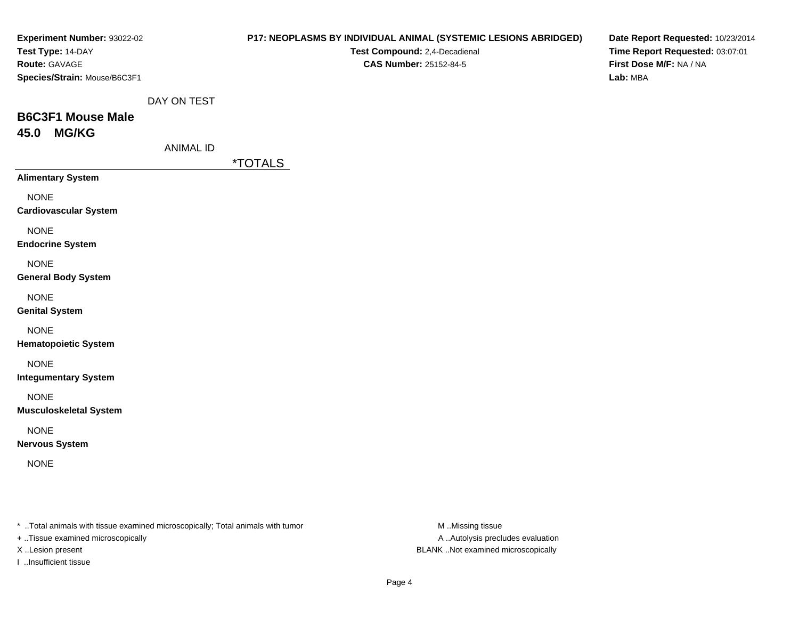| Experiment Number: 93022-02                                                    |                  |                       |                               | P17: NEOPLASMS BY INDIVIDUAL ANIMAL (SYSTEMIC LESIONS ABRIDGED) | Date Report Requested: 10/23/2014 |
|--------------------------------------------------------------------------------|------------------|-----------------------|-------------------------------|-----------------------------------------------------------------|-----------------------------------|
| Test Type: 14-DAY                                                              |                  |                       | Test Compound: 2,4-Decadienal |                                                                 | Time Report Requested: 03:07:01   |
| Route: GAVAGE                                                                  |                  |                       | <b>CAS Number: 25152-84-5</b> |                                                                 | First Dose M/F: NA / NA           |
| Species/Strain: Mouse/B6C3F1                                                   |                  |                       |                               |                                                                 | Lab: MBA                          |
|                                                                                |                  |                       |                               |                                                                 |                                   |
|                                                                                | DAY ON TEST      |                       |                               |                                                                 |                                   |
| <b>B6C3F1 Mouse Male</b>                                                       |                  |                       |                               |                                                                 |                                   |
| <b>MG/KG</b><br>45.0                                                           |                  |                       |                               |                                                                 |                                   |
|                                                                                | <b>ANIMAL ID</b> |                       |                               |                                                                 |                                   |
|                                                                                |                  | <i><b>*TOTALS</b></i> |                               |                                                                 |                                   |
| <b>Alimentary System</b>                                                       |                  |                       |                               |                                                                 |                                   |
| <b>NONE</b>                                                                    |                  |                       |                               |                                                                 |                                   |
| <b>Cardiovascular System</b>                                                   |                  |                       |                               |                                                                 |                                   |
| <b>NONE</b>                                                                    |                  |                       |                               |                                                                 |                                   |
| <b>Endocrine System</b>                                                        |                  |                       |                               |                                                                 |                                   |
|                                                                                |                  |                       |                               |                                                                 |                                   |
| <b>NONE</b>                                                                    |                  |                       |                               |                                                                 |                                   |
| <b>General Body System</b>                                                     |                  |                       |                               |                                                                 |                                   |
| <b>NONE</b>                                                                    |                  |                       |                               |                                                                 |                                   |
| <b>Genital System</b>                                                          |                  |                       |                               |                                                                 |                                   |
| <b>NONE</b>                                                                    |                  |                       |                               |                                                                 |                                   |
| <b>Hematopoietic System</b>                                                    |                  |                       |                               |                                                                 |                                   |
|                                                                                |                  |                       |                               |                                                                 |                                   |
| <b>NONE</b>                                                                    |                  |                       |                               |                                                                 |                                   |
| <b>Integumentary System</b>                                                    |                  |                       |                               |                                                                 |                                   |
| <b>NONE</b>                                                                    |                  |                       |                               |                                                                 |                                   |
| <b>Musculoskeletal System</b>                                                  |                  |                       |                               |                                                                 |                                   |
| <b>NONE</b>                                                                    |                  |                       |                               |                                                                 |                                   |
| <b>Nervous System</b>                                                          |                  |                       |                               |                                                                 |                                   |
|                                                                                |                  |                       |                               |                                                                 |                                   |
| <b>NONE</b>                                                                    |                  |                       |                               |                                                                 |                                   |
|                                                                                |                  |                       |                               |                                                                 |                                   |
|                                                                                |                  |                       |                               |                                                                 |                                   |
|                                                                                |                  |                       |                               |                                                                 |                                   |
| * Total animals with tissue examined microscopically; Total animals with tumor |                  |                       |                               | M Missing tissue                                                |                                   |
| + Tissue examined microscopically                                              |                  |                       |                               | A  Autolysis precludes evaluation                               |                                   |

I ..Insufficient tissue

X ..Lesion present BLANK ..Not examined microscopically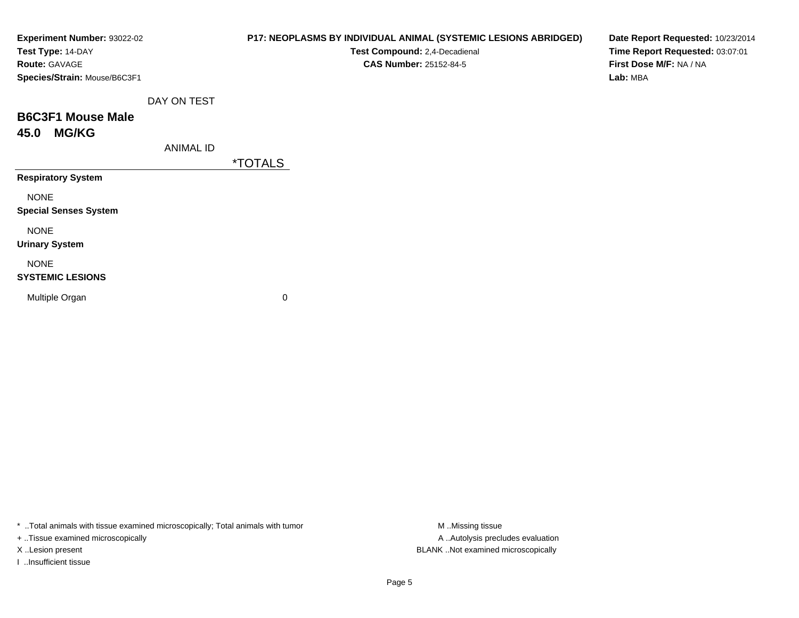| Experiment Number: 93022-02<br>Test Type: 14-DAY |                  | P17: NEOPLASMS BY INDIVIDUAL ANIMAL (SYSTEMIC LESIONS ABRIDGED)<br>Test Compound: 2,4-Decadienal | Date Report Requested: 10/23/2014<br>Time Report Requested: 03:07:01 |
|--------------------------------------------------|------------------|--------------------------------------------------------------------------------------------------|----------------------------------------------------------------------|
| <b>Route: GAVAGE</b>                             |                  | <b>CAS Number: 25152-84-5</b>                                                                    | First Dose M/F: NA / NA                                              |
| Species/Strain: Mouse/B6C3F1                     |                  |                                                                                                  | Lab: MBA                                                             |
|                                                  | DAY ON TEST      |                                                                                                  |                                                                      |
| <b>B6C3F1 Mouse Male</b>                         |                  |                                                                                                  |                                                                      |
| <b>MG/KG</b><br>45.0                             |                  |                                                                                                  |                                                                      |
|                                                  | <b>ANIMAL ID</b> |                                                                                                  |                                                                      |
|                                                  |                  | <i><b>*TOTALS</b></i>                                                                            |                                                                      |
| <b>Respiratory System</b>                        |                  |                                                                                                  |                                                                      |
| <b>NONE</b>                                      |                  |                                                                                                  |                                                                      |
| <b>Special Senses System</b>                     |                  |                                                                                                  |                                                                      |
| <b>NONE</b>                                      |                  |                                                                                                  |                                                                      |
| <b>Urinary System</b>                            |                  |                                                                                                  |                                                                      |
| <b>NONE</b>                                      |                  |                                                                                                  |                                                                      |
| <b>SYSTEMIC LESIONS</b>                          |                  |                                                                                                  |                                                                      |
| Multiple Organ                                   |                  | 0                                                                                                |                                                                      |
|                                                  |                  |                                                                                                  |                                                                      |
|                                                  |                  |                                                                                                  |                                                                      |

\* ..Total animals with tissue examined microscopically; Total animals with tumor M..Missing tissue M ..Missing tissue

+ ..Tissue examined microscopically

I ..Insufficient tissue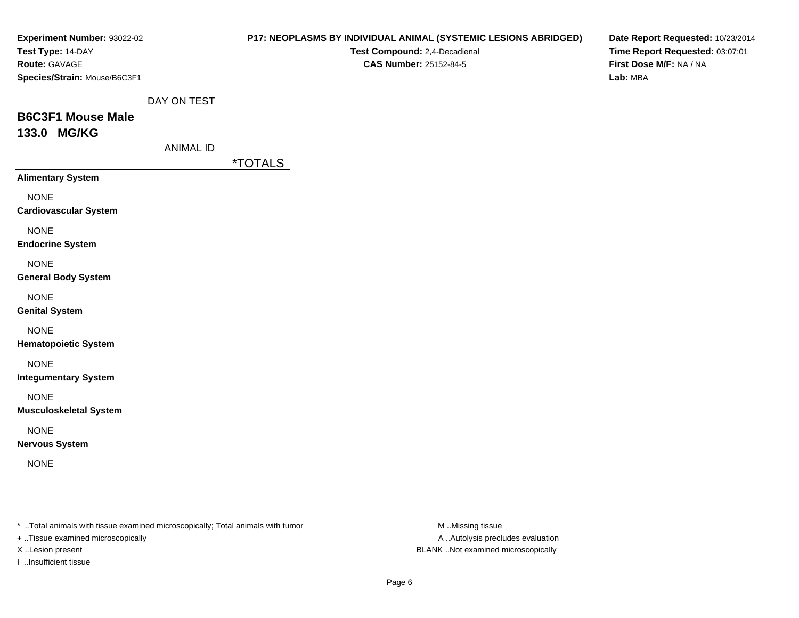| Experiment Number: 93022-02                                                                                         |                  |                       |                               | P17: NEOPLASMS BY INDIVIDUAL ANIMAL (SYSTEMIC LESIONS ABRIDGED) | Date Report Requested: 10/23/2014 |
|---------------------------------------------------------------------------------------------------------------------|------------------|-----------------------|-------------------------------|-----------------------------------------------------------------|-----------------------------------|
| Test Type: 14-DAY                                                                                                   |                  |                       | Test Compound: 2,4-Decadienal |                                                                 | Time Report Requested: 03:07:01   |
| Route: GAVAGE                                                                                                       |                  |                       | <b>CAS Number: 25152-84-5</b> |                                                                 | First Dose M/F: NA / NA           |
| Species/Strain: Mouse/B6C3F1                                                                                        |                  |                       |                               |                                                                 | Lab: MBA                          |
|                                                                                                                     | DAY ON TEST      |                       |                               |                                                                 |                                   |
| <b>B6C3F1 Mouse Male</b>                                                                                            |                  |                       |                               |                                                                 |                                   |
|                                                                                                                     |                  |                       |                               |                                                                 |                                   |
| 133.0 MG/KG                                                                                                         |                  |                       |                               |                                                                 |                                   |
|                                                                                                                     | <b>ANIMAL ID</b> |                       |                               |                                                                 |                                   |
|                                                                                                                     |                  | <i><b>*TOTALS</b></i> |                               |                                                                 |                                   |
| <b>Alimentary System</b>                                                                                            |                  |                       |                               |                                                                 |                                   |
| <b>NONE</b>                                                                                                         |                  |                       |                               |                                                                 |                                   |
| <b>Cardiovascular System</b>                                                                                        |                  |                       |                               |                                                                 |                                   |
| <b>NONE</b>                                                                                                         |                  |                       |                               |                                                                 |                                   |
| <b>Endocrine System</b>                                                                                             |                  |                       |                               |                                                                 |                                   |
| <b>NONE</b>                                                                                                         |                  |                       |                               |                                                                 |                                   |
| <b>General Body System</b>                                                                                          |                  |                       |                               |                                                                 |                                   |
| <b>NONE</b>                                                                                                         |                  |                       |                               |                                                                 |                                   |
| <b>Genital System</b>                                                                                               |                  |                       |                               |                                                                 |                                   |
|                                                                                                                     |                  |                       |                               |                                                                 |                                   |
| <b>NONE</b>                                                                                                         |                  |                       |                               |                                                                 |                                   |
| <b>Hematopoietic System</b>                                                                                         |                  |                       |                               |                                                                 |                                   |
| <b>NONE</b>                                                                                                         |                  |                       |                               |                                                                 |                                   |
| <b>Integumentary System</b>                                                                                         |                  |                       |                               |                                                                 |                                   |
| <b>NONE</b>                                                                                                         |                  |                       |                               |                                                                 |                                   |
| <b>Musculoskeletal System</b>                                                                                       |                  |                       |                               |                                                                 |                                   |
| <b>NONE</b>                                                                                                         |                  |                       |                               |                                                                 |                                   |
| <b>Nervous System</b>                                                                                               |                  |                       |                               |                                                                 |                                   |
|                                                                                                                     |                  |                       |                               |                                                                 |                                   |
| <b>NONE</b>                                                                                                         |                  |                       |                               |                                                                 |                                   |
|                                                                                                                     |                  |                       |                               |                                                                 |                                   |
|                                                                                                                     |                  |                       |                               |                                                                 |                                   |
|                                                                                                                     |                  |                       |                               |                                                                 |                                   |
| * Total animals with tissue examined microscopically; Total animals with tumor<br>+ Tissue examined microscopically |                  |                       |                               | M Missing tissue<br>A  Autolysis precludes evaluation           |                                   |
|                                                                                                                     |                  |                       |                               |                                                                 |                                   |

I ..Insufficient tissue

X ..Lesion present BLANK ..Not examined microscopically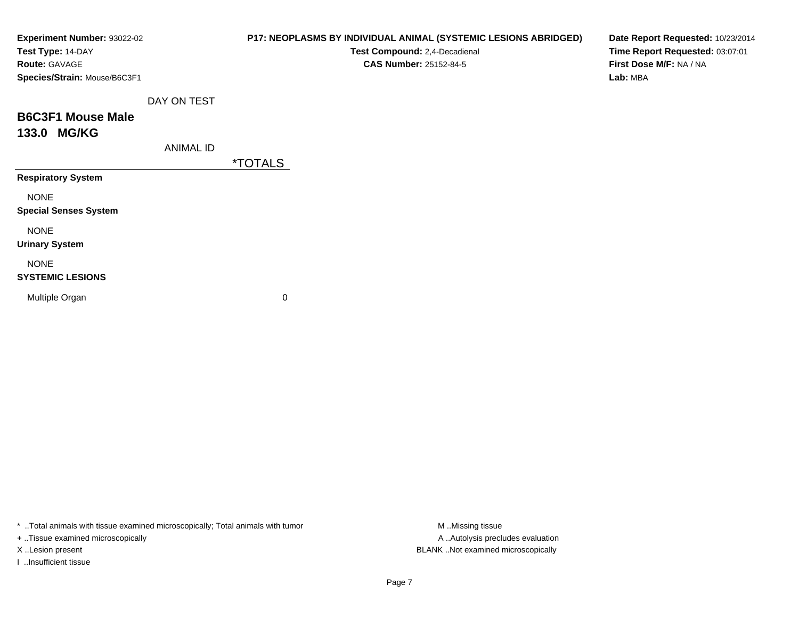| Experiment Number: 93022-02<br>Test Type: 14-DAY |                  | P17: NEOPLASMS BY INDIVIDUAL ANIMAL (SYSTEMIC LESIONS ABRIDGED)<br>Test Compound: 2,4-Decadienal | Date Report Requested: 10/23/2014<br>Time Report Requested: 03:07:01 |
|--------------------------------------------------|------------------|--------------------------------------------------------------------------------------------------|----------------------------------------------------------------------|
| Route: GAVAGE<br>Species/Strain: Mouse/B6C3F1    |                  | <b>CAS Number: 25152-84-5</b>                                                                    | First Dose M/F: NA / NA<br>Lab: MBA                                  |
|                                                  | DAY ON TEST      |                                                                                                  |                                                                      |
| <b>B6C3F1 Mouse Male</b>                         |                  |                                                                                                  |                                                                      |
| 133.0 MG/KG                                      |                  |                                                                                                  |                                                                      |
|                                                  | <b>ANIMAL ID</b> |                                                                                                  |                                                                      |
|                                                  |                  | <i><b>*TOTALS</b></i>                                                                            |                                                                      |
| <b>Respiratory System</b>                        |                  |                                                                                                  |                                                                      |
| <b>NONE</b>                                      |                  |                                                                                                  |                                                                      |
| <b>Special Senses System</b>                     |                  |                                                                                                  |                                                                      |
| <b>NONE</b>                                      |                  |                                                                                                  |                                                                      |
| <b>Urinary System</b>                            |                  |                                                                                                  |                                                                      |
| <b>NONE</b><br><b>SYSTEMIC LESIONS</b>           |                  |                                                                                                  |                                                                      |
| Multiple Organ                                   |                  | 0                                                                                                |                                                                      |
|                                                  |                  |                                                                                                  |                                                                      |

\* ..Total animals with tissue examined microscopically; Total animals with tumor M..Missing tissue M

+ ..Tissue examined microscopically

I ..Insufficient tissue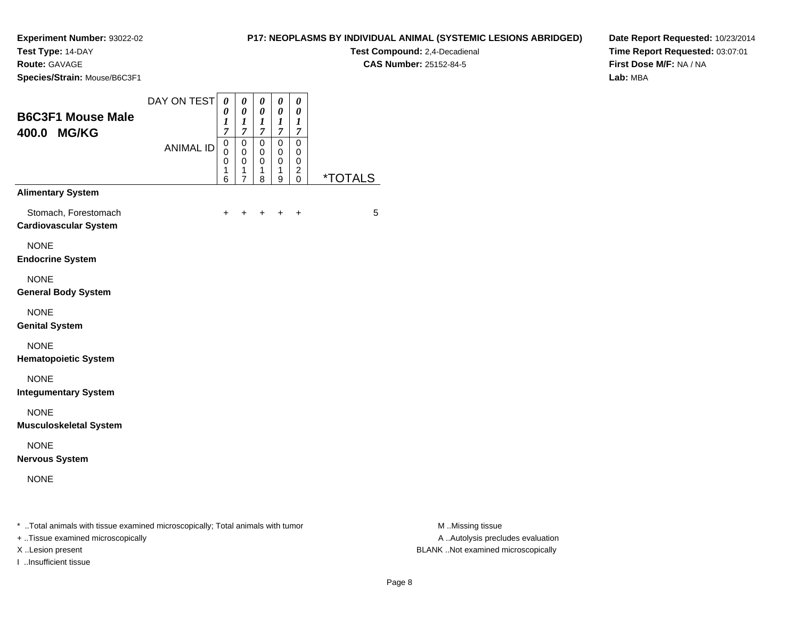**Test Type:** 14-DAY

**Route:** GAVAGE

**Species/Strain:** Mouse/B6C3F1

## **P17: NEOPLASMS BY INDIVIDUAL ANIMAL (SYSTEMIC LESIONS ABRIDGED)**

**Test Compound:** 2,4-Decadienal **CAS Number:** 25152-84-5

**Date Report Requested:** 10/23/2014**Time Report Requested:** 03:07:01**First Dose M/F:** NA / NA**Lab:** MBA

| <b>B6C3F1 Mouse Male</b><br>400.0 MG/KG              | DAY ON TEST      | $\boldsymbol{\theta}$<br>0<br>1<br>7 | 0<br>0<br>1<br>$\overline{7}$             | 0<br>0<br>1<br>7                | 0<br>0<br>1<br>7                | 0<br>0<br>1<br>$\overline{7}$             |                       |
|------------------------------------------------------|------------------|--------------------------------------|-------------------------------------------|---------------------------------|---------------------------------|-------------------------------------------|-----------------------|
|                                                      | <b>ANIMAL ID</b> | 0<br>$\Omega$<br>0<br>1<br>6         | 0<br>$\Omega$<br>0<br>1<br>$\overline{7}$ | 0<br>$\mathbf 0$<br>0<br>1<br>8 | 0<br>$\mathbf 0$<br>0<br>1<br>9 | 0<br>0<br>0<br>$\overline{c}$<br>$\Omega$ | <i><b>*TOTALS</b></i> |
| <b>Alimentary System</b>                             |                  |                                      |                                           |                                 |                                 |                                           |                       |
| Stomach, Forestomach<br><b>Cardiovascular System</b> |                  | $\ddot{}$                            |                                           | +                               | $\div$                          | $\ddot{}$                                 | 5                     |
| <b>NONE</b><br><b>Endocrine System</b>               |                  |                                      |                                           |                                 |                                 |                                           |                       |
| <b>NONE</b><br><b>General Body System</b>            |                  |                                      |                                           |                                 |                                 |                                           |                       |
| <b>NONE</b><br><b>Genital System</b>                 |                  |                                      |                                           |                                 |                                 |                                           |                       |
| <b>NONE</b><br><b>Hematopoietic System</b>           |                  |                                      |                                           |                                 |                                 |                                           |                       |
| <b>NONE</b><br><b>Integumentary System</b>           |                  |                                      |                                           |                                 |                                 |                                           |                       |
| <b>NONE</b><br><b>Musculoskeletal System</b>         |                  |                                      |                                           |                                 |                                 |                                           |                       |
| <b>NONE</b><br><b>Nervous System</b>                 |                  |                                      |                                           |                                 |                                 |                                           |                       |
| <b>NONE</b>                                          |                  |                                      |                                           |                                 |                                 |                                           |                       |
|                                                      |                  |                                      |                                           |                                 |                                 |                                           |                       |

\* ..Total animals with tissue examined microscopically; Total animals with tumor **M** . Missing tissue M ..Missing tissue

+ ..Tissue examined microscopically

I ..Insufficient tissue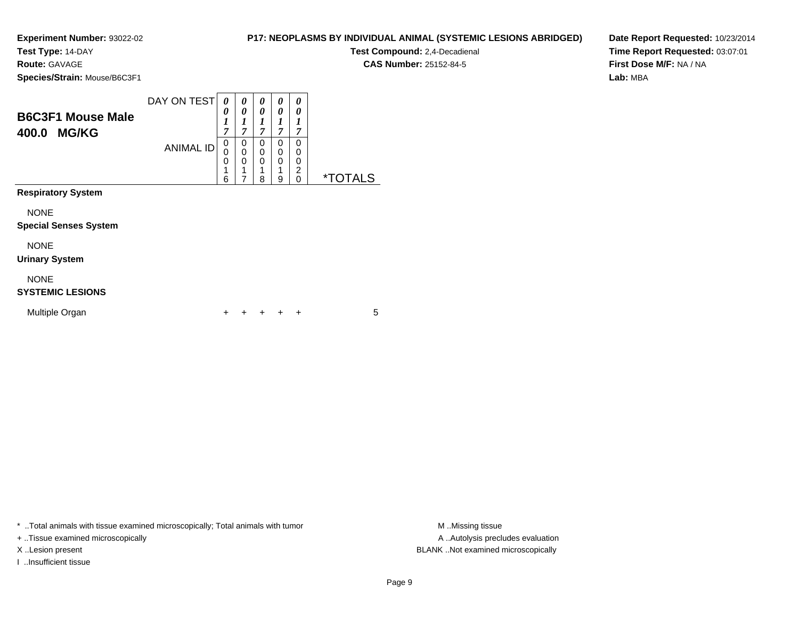**Test Type:** 14-DAY

**Route:** GAVAGE

**Species/Strain:** Mouse/B6C3F1

| <b>Species/Strain:</b> Mouse/B6C3F1 |                  |                |             |             |   |               |  |
|-------------------------------------|------------------|----------------|-------------|-------------|---|---------------|--|
| <b>B6C3F1 Mouse Male</b>            | DAY ON TEST      | 0              | 0<br>0      | 0<br>0      | 0 | 0<br>0        |  |
| <b>MG/KG</b><br>400.0               |                  | $\overline{ }$ | 7           | 7           |   | 7             |  |
|                                     | <b>ANIMAL ID</b> |                | 0<br>0<br>0 | 0<br>0<br>0 |   | 0<br>0<br>0   |  |
|                                     |                  | 0<br>4<br>6    | и           | и<br>8      | 9 | 2<br>$\Omega$ |  |

**Respiratory System**

NONE

#### **Special Senses System**

NONE

#### **Urinary System**

NONE

#### **SYSTEMIC LESIONS**

| Multiple Organ |  |  | + + + + + |  |  |  |  |
|----------------|--|--|-----------|--|--|--|--|
|----------------|--|--|-----------|--|--|--|--|

\* ..Total animals with tissue examined microscopically; Total animals with tumor **M** ...Missing tissue M ...Missing tissue

+ ..Tissue examined microscopically

I ..Insufficient tissue

**P17: NEOPLASMS BY INDIVIDUAL ANIMAL (SYSTEMIC LESIONS ABRIDGED)**

**Test Compound:** 2,4-Decadienal **CAS Number:** 25152-84-5

**Date Report Requested:** 10/23/2014**Time Report Requested:** 03:07:01**First Dose M/F:** NA / NA**Lab:** MBA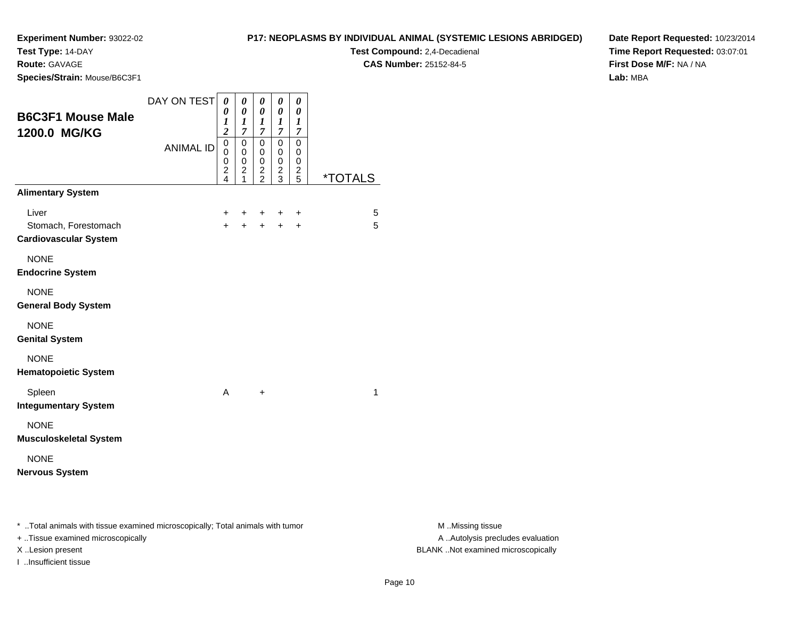**Test Type:** 14-DAY

**Route:** GAVAGE

**Species/Strain:** Mouse/B6C3F1

**Test Compound:** 2,4-Decadienal **CAS Number:** 25152-84-5

**Date Report Requested:** 10/23/2014**Time Report Requested:** 03:07:01**First Dose M/F:** NA / NA**Lab:** MBA

| <b>B6C3F1 Mouse Male</b><br>1200.0 MG/KG                                       | DAY ON TEST      | $\boldsymbol{\theta}$<br>0<br>1<br>$\overline{\mathbf{c}}$                       | 0<br>$\pmb{\theta}$<br>$\boldsymbol{l}$<br>$\overline{7}$ | $\boldsymbol{\theta}$<br>$\boldsymbol{\theta}$<br>$\boldsymbol{l}$<br>$\boldsymbol{7}$ | $\pmb{\theta}$<br>$\pmb{\theta}$<br>$\boldsymbol{l}$<br>$\boldsymbol{7}$      | $\boldsymbol{\theta}$<br>0<br>$\boldsymbol{l}$<br>$\boldsymbol{7}$ |                       |                  |
|--------------------------------------------------------------------------------|------------------|----------------------------------------------------------------------------------|-----------------------------------------------------------|----------------------------------------------------------------------------------------|-------------------------------------------------------------------------------|--------------------------------------------------------------------|-----------------------|------------------|
|                                                                                | <b>ANIMAL ID</b> | $\overline{0}$<br>$\mathbf 0$<br>$\mathbf 0$<br>$\overline{c}$<br>$\overline{4}$ | $\pmb{0}$<br>$\mathbf 0$<br>$\pmb{0}$<br>2                | $\mathsf{O}\xspace$<br>$\mathbf 0$<br>$\pmb{0}$<br>$\frac{2}{2}$                       | $\mathbf 0$<br>$\mathbf 0$<br>$\mathbf 0$<br>$\overline{c}$<br>$\overline{3}$ | $\overline{0}$<br>$\mathbf 0$<br>$\mathbf 0$<br>$\frac{2}{5}$      | <i><b>*TOTALS</b></i> |                  |
| <b>Alimentary System</b>                                                       |                  |                                                                                  |                                                           |                                                                                        |                                                                               |                                                                    |                       |                  |
| Liver<br>Stomach, Forestomach<br><b>Cardiovascular System</b>                  |                  | $\ddot{}$<br>$+$                                                                 | $\ddot{}$<br>$+$                                          | $\ddot{}$<br>$+$                                                                       | $\ddot{}$<br>$+$                                                              | $\ddot{}$<br>$\ddot{}$                                             | $\overline{5}$<br>5   |                  |
| <b>NONE</b><br><b>Endocrine System</b>                                         |                  |                                                                                  |                                                           |                                                                                        |                                                                               |                                                                    |                       |                  |
| <b>NONE</b><br><b>General Body System</b>                                      |                  |                                                                                  |                                                           |                                                                                        |                                                                               |                                                                    |                       |                  |
| <b>NONE</b><br><b>Genital System</b>                                           |                  |                                                                                  |                                                           |                                                                                        |                                                                               |                                                                    |                       |                  |
| <b>NONE</b><br><b>Hematopoietic System</b>                                     |                  |                                                                                  |                                                           |                                                                                        |                                                                               |                                                                    |                       |                  |
| Spleen<br><b>Integumentary System</b>                                          |                  | A                                                                                |                                                           | $\ddot{}$                                                                              |                                                                               |                                                                    | $\mathbf 1$           |                  |
| <b>NONE</b><br><b>Musculoskeletal System</b>                                   |                  |                                                                                  |                                                           |                                                                                        |                                                                               |                                                                    |                       |                  |
| <b>NONE</b><br><b>Nervous System</b>                                           |                  |                                                                                  |                                                           |                                                                                        |                                                                               |                                                                    |                       |                  |
| * Total animals with tissue examined microscopically; Total animals with tumor |                  |                                                                                  |                                                           |                                                                                        |                                                                               |                                                                    |                       | M Missing tissue |

+ ..Tissue examined microscopically

I ..Insufficient tissue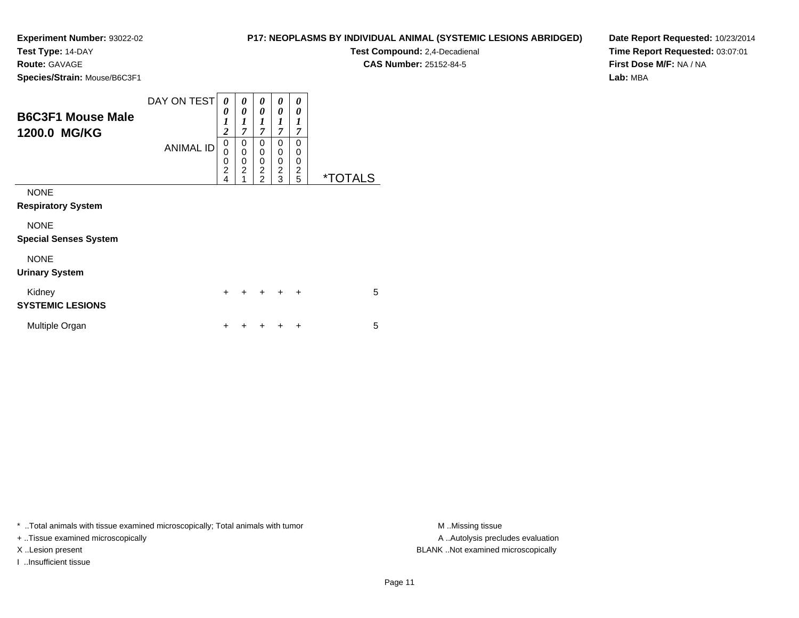**Test Type:** 14-DAY

**Route:** GAVAGE

**Species/Strain:** Mouse/B6C3F1

**Test Compound:** 2,4-Decadienal **CAS Number:** 25152-84-5

**Date Report Requested:** 10/23/2014**Time Report Requested:** 03:07:01**First Dose M/F:** NA / NA**Lab:** MBA

| <b>B6C3F1 Mouse Male</b><br>1200.0 MG/KG    | DAY ON TESTI<br><b>ANIMAL ID</b> | 0<br>0<br>1<br>$\overline{c}$<br>$\mathbf 0$<br>0<br>$\frac{0}{2}$<br>4 | 0<br>0<br>1<br>$\overline{7}$<br>0<br>$\mathbf 0$<br>$\mathbf 0$<br>$\overline{2}$ | 0<br>0<br>$\boldsymbol{l}$<br>$\overline{7}$<br>0<br>$\mathbf 0$<br>0<br>$\overline{c}$<br>$\overline{2}$ | 0<br>0<br>1<br>$\overline{7}$<br>0<br>0<br>0<br>$\overline{c}$<br>3 | 0<br>0<br>$\boldsymbol{l}$<br>$\overline{7}$<br>0<br>0<br>0<br>$\overline{c}$<br>5 | <i><b>*TOTALS</b></i> |  |
|---------------------------------------------|----------------------------------|-------------------------------------------------------------------------|------------------------------------------------------------------------------------|-----------------------------------------------------------------------------------------------------------|---------------------------------------------------------------------|------------------------------------------------------------------------------------|-----------------------|--|
| <b>NONE</b><br><b>Respiratory System</b>    |                                  |                                                                         |                                                                                    |                                                                                                           |                                                                     |                                                                                    |                       |  |
| <b>NONE</b><br><b>Special Senses System</b> |                                  |                                                                         |                                                                                    |                                                                                                           |                                                                     |                                                                                    |                       |  |
| <b>NONE</b><br><b>Urinary System</b>        |                                  |                                                                         |                                                                                    |                                                                                                           |                                                                     |                                                                                    |                       |  |
| Kidney<br><b>SYSTEMIC LESIONS</b>           |                                  | +                                                                       |                                                                                    |                                                                                                           |                                                                     | $\ddot{}$                                                                          | 5                     |  |
| Multiple Organ                              |                                  | ٠                                                                       |                                                                                    |                                                                                                           |                                                                     | ÷                                                                                  | 5                     |  |

\* ..Total animals with tissue examined microscopically; Total animals with tumor **M** ..Missing tissue M ..Missing tissue

+ ..Tissue examined microscopically

I ..Insufficient tissue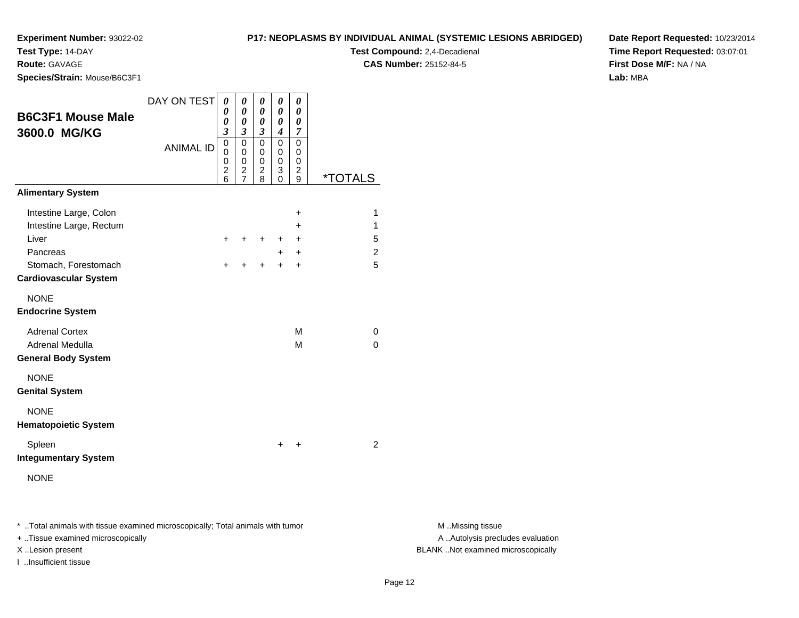**Test Type:** 14-DAY

**Route:** GAVAGE

**Species/Strain:** Mouse/B6C3F1

## **P17: NEOPLASMS BY INDIVIDUAL ANIMAL (SYSTEMIC LESIONS ABRIDGED)**

**Test Compound:** 2,4-Decadienal **CAS Number:** 25152-84-5

**Date Report Requested:** 10/23/2014**Time Report Requested:** 03:07:01**First Dose M/F:** NA / NA**Lab:** MBA

| <b>B6C3F1 Mouse Male</b><br>3600.0 MG/KG | DAY ON TEST<br><b>ANIMAL ID</b> | 0<br>0<br>0<br>$\mathfrak{z}$<br>$\mathbf 0$<br>0<br>$\mathbf 0$<br>$\overline{\mathbf{c}}$<br>6 | 0<br>0<br>0<br>$\boldsymbol{\mathfrak{z}}$<br>$\mathbf 0$<br>0<br>$\mathbf 0$<br>$\overline{\mathbf{c}}$<br>$\overline{7}$ | 0<br>0<br>0<br>$\boldsymbol{\beta}$<br>$\mathbf 0$<br>0<br>$\mathbf 0$<br>2<br>8 | 0<br>0<br>0<br>$\boldsymbol{4}$<br>$\mathbf 0$<br>0<br>$\mathbf 0$<br>3<br>0 | 0<br>0<br>0<br>7<br>$\mathbf 0$<br>0<br>$\mathbf 0$<br>$\overline{\mathbf{c}}$<br>9 | <i><b>*TOTALS</b></i> |
|------------------------------------------|---------------------------------|--------------------------------------------------------------------------------------------------|----------------------------------------------------------------------------------------------------------------------------|----------------------------------------------------------------------------------|------------------------------------------------------------------------------|-------------------------------------------------------------------------------------|-----------------------|
| <b>Alimentary System</b>                 |                                 |                                                                                                  |                                                                                                                            |                                                                                  |                                                                              |                                                                                     |                       |
| Intestine Large, Colon                   |                                 |                                                                                                  |                                                                                                                            |                                                                                  |                                                                              | +                                                                                   | 1                     |
| Intestine Large, Rectum                  |                                 |                                                                                                  |                                                                                                                            |                                                                                  |                                                                              | $\ddot{}$                                                                           | 1                     |
| Liver                                    |                                 | $\pm$                                                                                            | ٠                                                                                                                          | ÷                                                                                | ٠                                                                            | $\ddot{}$                                                                           | 5                     |
| Pancreas                                 |                                 |                                                                                                  |                                                                                                                            |                                                                                  | $\ddot{}$                                                                    | $\ddot{}$                                                                           | 2                     |
| Stomach, Forestomach                     |                                 | $\div$                                                                                           | ÷                                                                                                                          | $\div$                                                                           | $\ddot{}$                                                                    | $\ddot{}$                                                                           | 5                     |
| <b>Cardiovascular System</b>             |                                 |                                                                                                  |                                                                                                                            |                                                                                  |                                                                              |                                                                                     |                       |
| <b>NONE</b><br><b>Endocrine System</b>   |                                 |                                                                                                  |                                                                                                                            |                                                                                  |                                                                              |                                                                                     |                       |
| <b>Adrenal Cortex</b>                    |                                 |                                                                                                  |                                                                                                                            |                                                                                  |                                                                              | M                                                                                   | $\Omega$              |
| Adrenal Medulla                          |                                 |                                                                                                  |                                                                                                                            |                                                                                  |                                                                              | М                                                                                   | $\Omega$              |
| <b>General Body System</b>               |                                 |                                                                                                  |                                                                                                                            |                                                                                  |                                                                              |                                                                                     |                       |
| <b>NONE</b><br><b>Genital System</b>     |                                 |                                                                                                  |                                                                                                                            |                                                                                  |                                                                              |                                                                                     |                       |
| <b>NONE</b>                              |                                 |                                                                                                  |                                                                                                                            |                                                                                  |                                                                              |                                                                                     |                       |
| <b>Hematopoietic System</b>              |                                 |                                                                                                  |                                                                                                                            |                                                                                  |                                                                              |                                                                                     |                       |
| Spleen<br><b>Integumentary System</b>    |                                 |                                                                                                  |                                                                                                                            |                                                                                  | $\ddot{}$                                                                    | +                                                                                   | 2                     |
|                                          |                                 |                                                                                                  |                                                                                                                            |                                                                                  |                                                                              |                                                                                     |                       |
| <b>NONE</b>                              |                                 |                                                                                                  |                                                                                                                            |                                                                                  |                                                                              |                                                                                     |                       |
|                                          |                                 |                                                                                                  |                                                                                                                            |                                                                                  |                                                                              |                                                                                     |                       |

\* ..Total animals with tissue examined microscopically; Total animals with tumor **M** . Missing tissue M ..Missing tissue

+ ..Tissue examined microscopically

I ..Insufficient tissue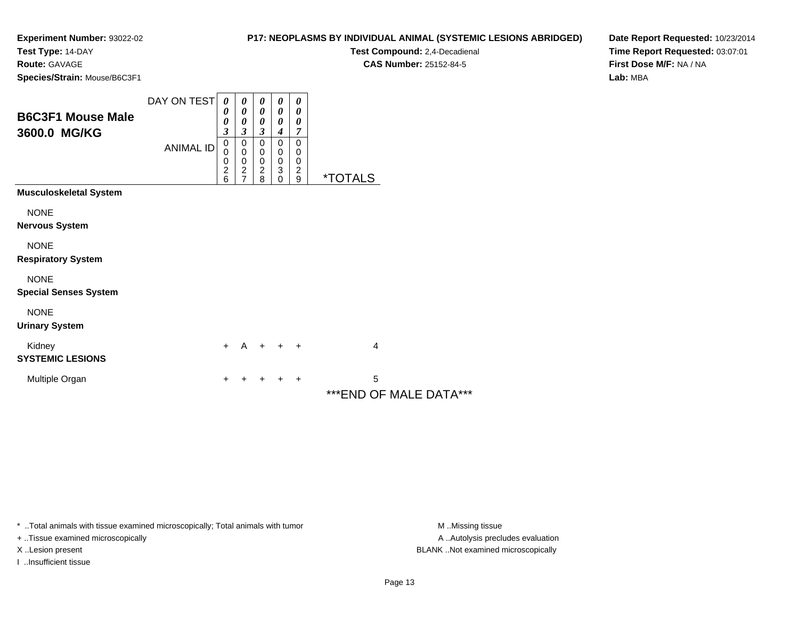**Test Type:** 14-DAY

**Route:** GAVAGE

**Species/Strain:** Mouse/B6C3F1

## **P17: NEOPLASMS BY INDIVIDUAL ANIMAL (SYSTEMIC LESIONS ABRIDGED)**

**Test Compound:** 2,4-Decadienal **CAS Number:** 25152-84-5

**Date Report Requested:** 10/23/2014**Time Report Requested:** 03:07:01**First Dose M/F:** NA / NA**Lab:** MBA

| <b>B6C3F1 Mouse Male</b><br>3600.0 MG/KG    | DAY ON TEST<br><b>ANIMAL ID</b> | $\boldsymbol{\theta}$<br>0<br>0<br>$\overline{\mathbf{3}}$<br>$\mathbf 0$<br>0<br>0<br>$\frac{2}{6}$ | 0<br>$\boldsymbol{\theta}$<br>0<br>$\mathfrak{z}$<br>$\mathbf 0$<br>$\mathbf 0$<br>$\pmb{0}$<br>$\frac{2}{7}$ | 0<br>$\boldsymbol{\theta}$<br>$\theta$<br>$\boldsymbol{\beta}$<br>0<br>0<br>$\pmb{0}$<br>$\frac{2}{8}$ | 0<br>0<br>0<br>$\boldsymbol{4}$<br>$\mathbf 0$<br>0<br>$\pmb{0}$<br>$\ensuremath{\mathsf{3}}$<br>$\mathbf 0$ | 0<br>$\boldsymbol{\theta}$<br>$\boldsymbol{\theta}$<br>$\overline{7}$<br>$\mathbf 0$<br>0<br>0<br>$\frac{2}{9}$ | <i><b>*TOTALS</b></i>        |
|---------------------------------------------|---------------------------------|------------------------------------------------------------------------------------------------------|---------------------------------------------------------------------------------------------------------------|--------------------------------------------------------------------------------------------------------|--------------------------------------------------------------------------------------------------------------|-----------------------------------------------------------------------------------------------------------------|------------------------------|
| <b>Musculoskeletal System</b>               |                                 |                                                                                                      |                                                                                                               |                                                                                                        |                                                                                                              |                                                                                                                 |                              |
| <b>NONE</b><br><b>Nervous System</b>        |                                 |                                                                                                      |                                                                                                               |                                                                                                        |                                                                                                              |                                                                                                                 |                              |
| <b>NONE</b><br><b>Respiratory System</b>    |                                 |                                                                                                      |                                                                                                               |                                                                                                        |                                                                                                              |                                                                                                                 |                              |
| <b>NONE</b><br><b>Special Senses System</b> |                                 |                                                                                                      |                                                                                                               |                                                                                                        |                                                                                                              |                                                                                                                 |                              |
| <b>NONE</b><br><b>Urinary System</b>        |                                 |                                                                                                      |                                                                                                               |                                                                                                        |                                                                                                              |                                                                                                                 |                              |
| Kidney<br><b>SYSTEMIC LESIONS</b>           |                                 | $+$                                                                                                  | $\mathsf{A}$                                                                                                  |                                                                                                        | $+$ $+$ $+$                                                                                                  |                                                                                                                 | 4                            |
| Multiple Organ                              |                                 | +                                                                                                    |                                                                                                               |                                                                                                        |                                                                                                              | ÷                                                                                                               | 5<br>*** END OF MALE DATA*** |

\* ..Total animals with tissue examined microscopically; Total animals with tumor **M** . Missing tissue M ..Missing tissue

+ ..Tissue examined microscopically

I ..Insufficient tissue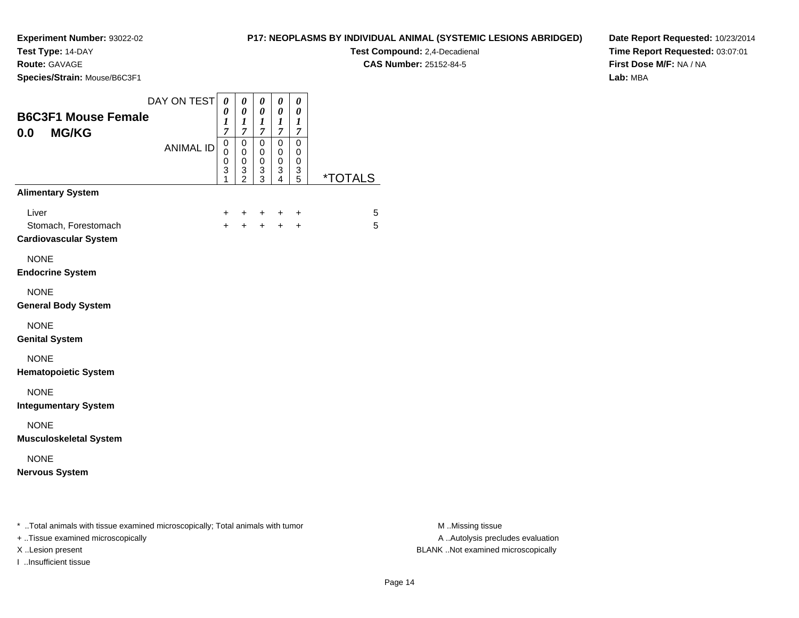**Test Type:** 14-DAY

**Route:** GAVAGE

**Species/Strain:** Mouse/B6C3F1

**Test Compound:** 2,4-Decadienal **CAS Number:** 25152-84-5

**Date Report Requested:** 10/23/2014**Time Report Requested:** 03:07:01**First Dose M/F:** NA / NA**Lab:** MBA

| DAY ON TEST<br><b>B6C3F1 Mouse Female</b><br>0.0<br><b>MG/KG</b>               | $\boldsymbol{\theta}$<br>0<br>1<br>$\overline{7}$ |   | 0<br>0<br>1<br>$\overline{7}$                                    | 0<br>0<br>1<br>$\overline{7}$                                    | 0<br>0<br>1<br>$\overline{7}$ | 0<br>0<br>1<br>$\boldsymbol{7}$ |                       |
|--------------------------------------------------------------------------------|---------------------------------------------------|---|------------------------------------------------------------------|------------------------------------------------------------------|-------------------------------|---------------------------------|-----------------------|
|                                                                                | 0<br><b>ANIMAL ID</b><br>0<br>0<br>3              | 1 | $\mathbf 0$<br>$\mathbf 0$<br>$\mathbf 0$<br>3<br>$\mathfrak{p}$ | $\mathbf 0$<br>$\mathbf 0$<br>$\mathbf 0$<br>3<br>$\overline{3}$ | 0<br>0<br>0<br>3<br>4         | $\mathsf 0$<br>0<br>0<br>3<br>5 | <i><b>*TOTALS</b></i> |
| <b>Alimentary System</b>                                                       |                                                   |   |                                                                  |                                                                  |                               |                                 |                       |
| Liver<br>Stomach, Forestomach<br><b>Cardiovascular System</b>                  | $+$                                               | + | +<br>$\ddot{}$                                                   | $+$<br>$+$                                                       | $\ddot{}$<br>$+$              | $\ddot{}$<br>$+$                | 5<br>5                |
| <b>NONE</b><br><b>Endocrine System</b>                                         |                                                   |   |                                                                  |                                                                  |                               |                                 |                       |
| <b>NONE</b><br><b>General Body System</b>                                      |                                                   |   |                                                                  |                                                                  |                               |                                 |                       |
| <b>NONE</b><br><b>Genital System</b>                                           |                                                   |   |                                                                  |                                                                  |                               |                                 |                       |
| <b>NONE</b><br><b>Hematopoietic System</b>                                     |                                                   |   |                                                                  |                                                                  |                               |                                 |                       |
| <b>NONE</b><br><b>Integumentary System</b>                                     |                                                   |   |                                                                  |                                                                  |                               |                                 |                       |
| <b>NONE</b><br><b>Musculoskeletal System</b>                                   |                                                   |   |                                                                  |                                                                  |                               |                                 |                       |
| <b>NONE</b><br><b>Nervous System</b>                                           |                                                   |   |                                                                  |                                                                  |                               |                                 |                       |
| * Total animals with tissue examined microscopically; Total animals with tumor |                                                   |   |                                                                  |                                                                  |                               |                                 |                       |

+ ..Tissue examined microscopically

I ..Insufficient tissue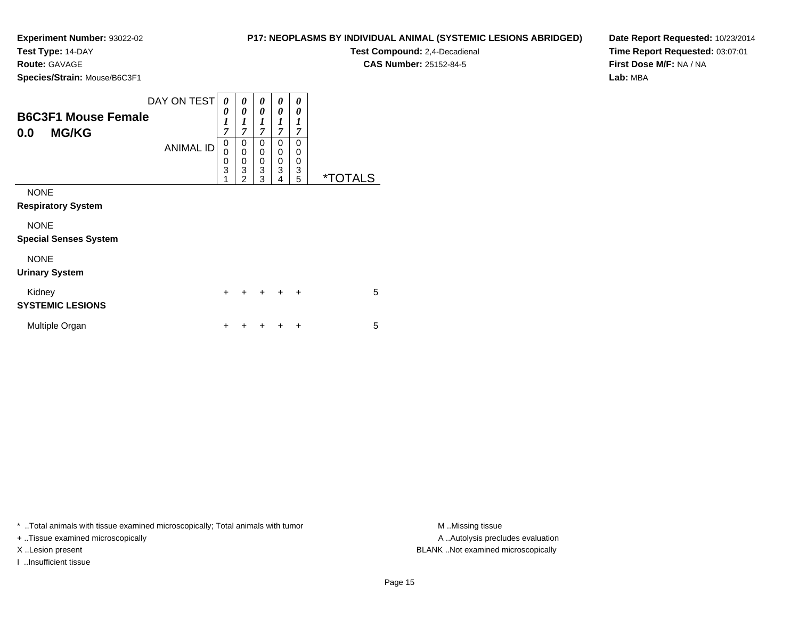**Test Type:** 14-DAY

**Route:** GAVAGE

**Species/Strain:** Mouse/B6C3F1

| P17: NEOPLASMS BY INDIVIDUAL ANIMAL (SYSTEMIC LESIONS ABRIDGED) |  |
|-----------------------------------------------------------------|--|
|-----------------------------------------------------------------|--|

**Test Compound:** 2,4-Decadienal **CAS Number:** 25152-84-5

**Date Report Requested:** 10/23/2014**Time Report Requested:** 03:07:01**First Dose M/F:** NA / NA**Lab:** MBA

| <b>B6C3F1 Mouse Female</b><br><b>MG/KG</b><br>0.0                                       | DAY ON TEST<br><b>ANIMAL ID</b> | 0<br>0<br>$\boldsymbol{l}$<br>$\overline{7}$<br>0<br>$\mathbf 0$<br>$\frac{0}{3}$<br>1 | 0<br>0<br>1<br>$\overline{7}$<br>0<br>0<br>$\mathbf 0$<br>3<br>$\mathfrak{p}$ | 0<br>0<br>$\boldsymbol{l}$<br>$\overline{7}$<br>$\Omega$<br>0<br>0<br>3<br>3 | 0<br>0<br>1<br>7<br>$\Omega$<br>0<br>0<br>3<br>4 | 0<br>0<br>1<br>$\overline{7}$<br>0<br>0<br>0<br>3<br>5 | <i><b>*TOTALS</b></i> |
|-----------------------------------------------------------------------------------------|---------------------------------|----------------------------------------------------------------------------------------|-------------------------------------------------------------------------------|------------------------------------------------------------------------------|--------------------------------------------------|--------------------------------------------------------|-----------------------|
| <b>NONE</b><br><b>Respiratory System</b><br><b>NONE</b><br><b>Special Senses System</b> |                                 |                                                                                        |                                                                               |                                                                              |                                                  |                                                        |                       |
| <b>NONE</b><br><b>Urinary System</b>                                                    |                                 |                                                                                        |                                                                               |                                                                              |                                                  |                                                        |                       |
| Kidney<br><b>SYSTEMIC LESIONS</b>                                                       |                                 | $\ddot{}$                                                                              | +                                                                             |                                                                              | $\ddot{}$                                        | $\ddot{}$                                              | 5                     |
| Multiple Organ                                                                          |                                 | ٠                                                                                      |                                                                               |                                                                              |                                                  | ÷                                                      | 5                     |

\* ..Total animals with tissue examined microscopically; Total animals with tumor **M** ..Missing tissue M ..Missing tissue

+ ..Tissue examined microscopically

I ..Insufficient tissue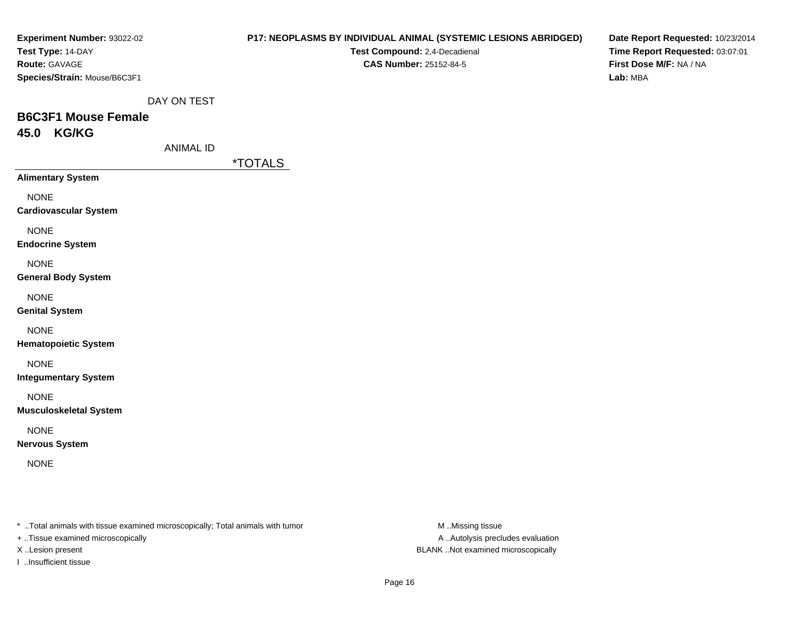| Experiment Number: 93022-02<br>Test Type: 14-DAY<br>Route: GAVAGE<br>Species/Strain: Mouse/B6C3F1                    |                  |                       | Test Compound: 2,4-Decadienal<br><b>CAS Number: 25152-84-5</b> | P17: NEOPLASMS BY INDIVIDUAL ANIMAL (SYSTEMIC LESIONS ABRIDGED) | Lab: MBA | Date Report Requested: 10/23/2014<br>Time Report Requested: 03:07:01<br>First Dose M/F: NA / NA |
|----------------------------------------------------------------------------------------------------------------------|------------------|-----------------------|----------------------------------------------------------------|-----------------------------------------------------------------|----------|-------------------------------------------------------------------------------------------------|
| <b>B6C3F1 Mouse Female</b>                                                                                           | DAY ON TEST      |                       |                                                                |                                                                 |          |                                                                                                 |
| 45.0 KG/KG                                                                                                           |                  |                       |                                                                |                                                                 |          |                                                                                                 |
|                                                                                                                      | <b>ANIMAL ID</b> |                       |                                                                |                                                                 |          |                                                                                                 |
|                                                                                                                      |                  | <i><b>*TOTALS</b></i> |                                                                |                                                                 |          |                                                                                                 |
| <b>Alimentary System</b>                                                                                             |                  |                       |                                                                |                                                                 |          |                                                                                                 |
| <b>NONE</b><br><b>Cardiovascular System</b>                                                                          |                  |                       |                                                                |                                                                 |          |                                                                                                 |
| <b>NONE</b><br><b>Endocrine System</b>                                                                               |                  |                       |                                                                |                                                                 |          |                                                                                                 |
| <b>NONE</b><br><b>General Body System</b>                                                                            |                  |                       |                                                                |                                                                 |          |                                                                                                 |
| <b>NONE</b><br><b>Genital System</b>                                                                                 |                  |                       |                                                                |                                                                 |          |                                                                                                 |
| <b>NONE</b><br><b>Hematopoietic System</b>                                                                           |                  |                       |                                                                |                                                                 |          |                                                                                                 |
| <b>NONE</b><br><b>Integumentary System</b>                                                                           |                  |                       |                                                                |                                                                 |          |                                                                                                 |
| <b>NONE</b><br><b>Musculoskeletal System</b>                                                                         |                  |                       |                                                                |                                                                 |          |                                                                                                 |
| <b>NONE</b><br><b>Nervous System</b>                                                                                 |                  |                       |                                                                |                                                                 |          |                                                                                                 |
| <b>NONE</b>                                                                                                          |                  |                       |                                                                |                                                                 |          |                                                                                                 |
|                                                                                                                      |                  |                       |                                                                |                                                                 |          |                                                                                                 |
| *  Total animals with tissue examined microscopically; Total animals with tumor<br>+ Tissue examined microscopically |                  |                       |                                                                | M Missing tissue<br>A  Autolysis precludes evaluation           |          |                                                                                                 |

X ..Lesion present BLANK ..Not examined microscopically

I ..Insufficient tissue

Page 16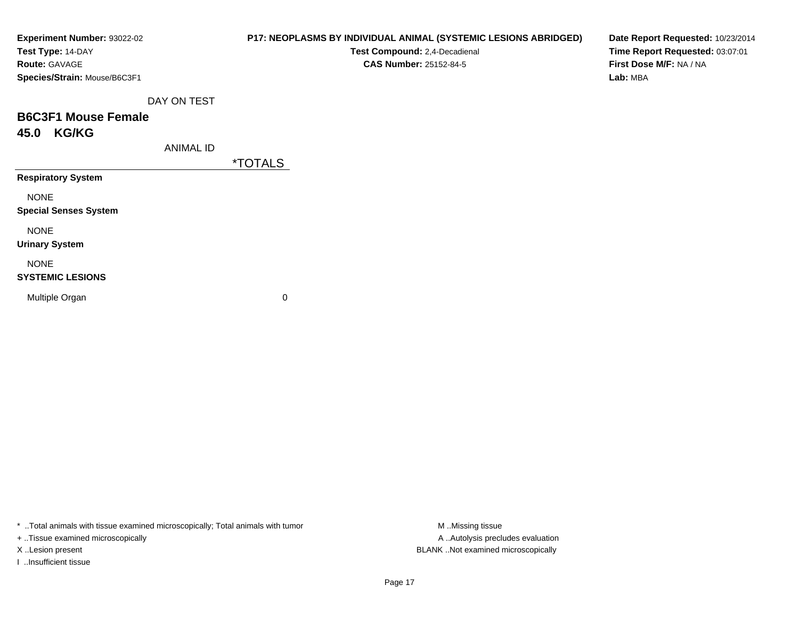| Experiment Number: 93022-02<br>Test Type: 14-DAY<br>Route: GAVAGE |                  | P17: NEOPLASMS BY INDIVIDUAL ANIMAL (SYSTEMIC LESIONS ABRIDGED)<br>Test Compound: 2,4-Decadienal<br><b>CAS Number: 25152-84-5</b> | Date Report Requested: 10/23/2014<br>Time Report Requested: 03:07:01<br>First Dose M/F: NA / NA |
|-------------------------------------------------------------------|------------------|-----------------------------------------------------------------------------------------------------------------------------------|-------------------------------------------------------------------------------------------------|
| Species/Strain: Mouse/B6C3F1                                      |                  |                                                                                                                                   | Lab: MBA                                                                                        |
|                                                                   | DAY ON TEST      |                                                                                                                                   |                                                                                                 |
| <b>B6C3F1 Mouse Female</b>                                        |                  |                                                                                                                                   |                                                                                                 |
| 45.0 KG/KG                                                        |                  |                                                                                                                                   |                                                                                                 |
|                                                                   | <b>ANIMAL ID</b> |                                                                                                                                   |                                                                                                 |
|                                                                   |                  | <i><b>*TOTALS</b></i>                                                                                                             |                                                                                                 |
| <b>Respiratory System</b>                                         |                  |                                                                                                                                   |                                                                                                 |
| <b>NONE</b>                                                       |                  |                                                                                                                                   |                                                                                                 |
| <b>Special Senses System</b>                                      |                  |                                                                                                                                   |                                                                                                 |
| <b>NONE</b>                                                       |                  |                                                                                                                                   |                                                                                                 |
| <b>Urinary System</b>                                             |                  |                                                                                                                                   |                                                                                                 |
| <b>NONE</b>                                                       |                  |                                                                                                                                   |                                                                                                 |
| <b>SYSTEMIC LESIONS</b>                                           |                  |                                                                                                                                   |                                                                                                 |
| Multiple Organ                                                    |                  | 0                                                                                                                                 |                                                                                                 |
|                                                                   |                  |                                                                                                                                   |                                                                                                 |
|                                                                   |                  |                                                                                                                                   |                                                                                                 |

\* ..Total animals with tissue examined microscopically; Total animals with tumor M..Missing tissue M ..Missing tissue

+ ..Tissue examined microscopically

I ..Insufficient tissue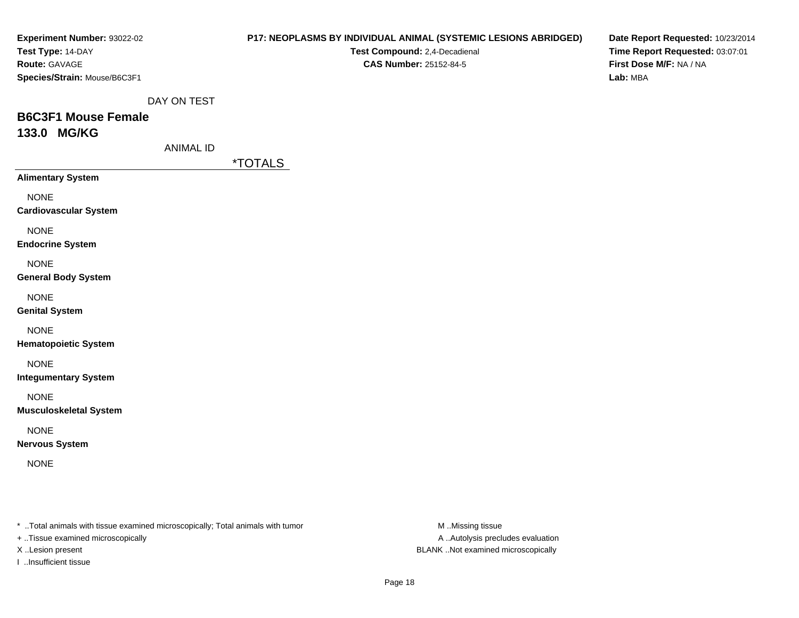| Experiment Number: 93022-02<br>Test Type: 14-DAY<br>Route: GAVAGE<br>Species/Strain: Mouse/B6C3F1                   |                  |                       | Test Compound: 2,4-Decadienal<br>CAS Number: 25152-84-5 | P17: NEOPLASMS BY INDIVIDUAL ANIMAL (SYSTEMIC LESIONS ABRIDGED) | Date Report Requested: 10/23/2014<br>Time Report Requested: 03:07:01<br>First Dose M/F: NA / NA<br>Lab: MBA |
|---------------------------------------------------------------------------------------------------------------------|------------------|-----------------------|---------------------------------------------------------|-----------------------------------------------------------------|-------------------------------------------------------------------------------------------------------------|
|                                                                                                                     | DAY ON TEST      |                       |                                                         |                                                                 |                                                                                                             |
| <b>B6C3F1 Mouse Female</b>                                                                                          |                  |                       |                                                         |                                                                 |                                                                                                             |
| 133.0 MG/KG                                                                                                         |                  |                       |                                                         |                                                                 |                                                                                                             |
|                                                                                                                     | <b>ANIMAL ID</b> |                       |                                                         |                                                                 |                                                                                                             |
| <b>Alimentary System</b>                                                                                            |                  | <i><b>*TOTALS</b></i> |                                                         |                                                                 |                                                                                                             |
|                                                                                                                     |                  |                       |                                                         |                                                                 |                                                                                                             |
| <b>NONE</b><br><b>Cardiovascular System</b>                                                                         |                  |                       |                                                         |                                                                 |                                                                                                             |
| <b>NONE</b><br><b>Endocrine System</b>                                                                              |                  |                       |                                                         |                                                                 |                                                                                                             |
| <b>NONE</b><br><b>General Body System</b>                                                                           |                  |                       |                                                         |                                                                 |                                                                                                             |
| <b>NONE</b><br><b>Genital System</b>                                                                                |                  |                       |                                                         |                                                                 |                                                                                                             |
| <b>NONE</b><br><b>Hematopoietic System</b>                                                                          |                  |                       |                                                         |                                                                 |                                                                                                             |
| <b>NONE</b><br><b>Integumentary System</b>                                                                          |                  |                       |                                                         |                                                                 |                                                                                                             |
| <b>NONE</b><br><b>Musculoskeletal System</b>                                                                        |                  |                       |                                                         |                                                                 |                                                                                                             |
| <b>NONE</b><br><b>Nervous System</b>                                                                                |                  |                       |                                                         |                                                                 |                                                                                                             |
| <b>NONE</b>                                                                                                         |                  |                       |                                                         |                                                                 |                                                                                                             |
|                                                                                                                     |                  |                       |                                                         |                                                                 |                                                                                                             |
| * Total animals with tissue examined microscopically; Total animals with tumor<br>+ Tissue examined microscopically |                  |                       |                                                         | M Missing tissue<br>A Autolysis precludes evaluation            |                                                                                                             |

X ..Lesion present BLANK ..Not examined microscopically

I ..Insufficient tissue

Page 18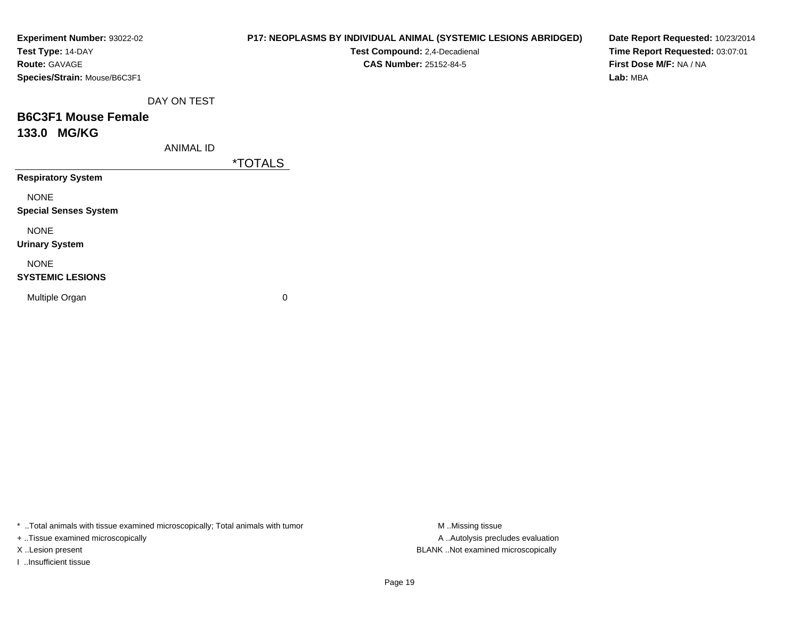| Experiment Number: 93022-02<br>Test Type: 14-DAY<br>Route: GAVAGE |                  | P17: NEOPLASMS BY INDIVIDUAL ANIMAL (SYSTEMIC LESIONS ABRIDGED)<br>Test Compound: 2,4-Decadienal<br><b>CAS Number: 25152-84-5</b> | Date Report Requested: 10/23/2014<br>Time Report Requested: 03:07:01<br>First Dose M/F: NA / NA |
|-------------------------------------------------------------------|------------------|-----------------------------------------------------------------------------------------------------------------------------------|-------------------------------------------------------------------------------------------------|
| Species/Strain: Mouse/B6C3F1                                      |                  |                                                                                                                                   | Lab: MBA                                                                                        |
|                                                                   | DAY ON TEST      |                                                                                                                                   |                                                                                                 |
| <b>B6C3F1 Mouse Female</b>                                        |                  |                                                                                                                                   |                                                                                                 |
| 133.0 MG/KG                                                       |                  |                                                                                                                                   |                                                                                                 |
|                                                                   | <b>ANIMAL ID</b> |                                                                                                                                   |                                                                                                 |
|                                                                   |                  | *TOTALS                                                                                                                           |                                                                                                 |
| <b>Respiratory System</b>                                         |                  |                                                                                                                                   |                                                                                                 |
| <b>NONE</b>                                                       |                  |                                                                                                                                   |                                                                                                 |
| <b>Special Senses System</b>                                      |                  |                                                                                                                                   |                                                                                                 |
| <b>NONE</b>                                                       |                  |                                                                                                                                   |                                                                                                 |
| <b>Urinary System</b>                                             |                  |                                                                                                                                   |                                                                                                 |
| <b>NONE</b>                                                       |                  |                                                                                                                                   |                                                                                                 |
| <b>SYSTEMIC LESIONS</b>                                           |                  |                                                                                                                                   |                                                                                                 |
| Multiple Organ                                                    |                  | 0                                                                                                                                 |                                                                                                 |
|                                                                   |                  |                                                                                                                                   |                                                                                                 |
|                                                                   |                  |                                                                                                                                   |                                                                                                 |

\* ..Total animals with tissue examined microscopically; Total animals with tumor M..Missing tissue M ..Missing tissue

+ ..Tissue examined microscopically

I ..Insufficient tissue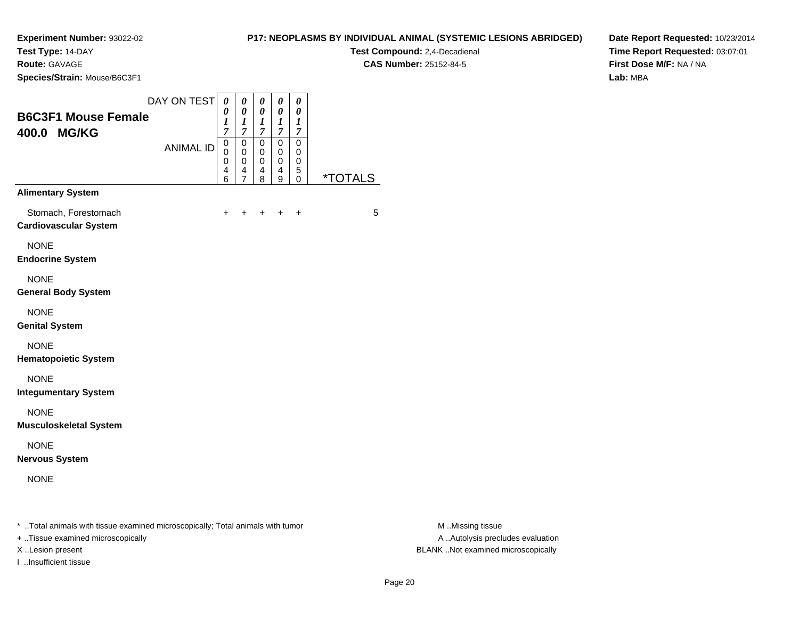**Test Type:** 14-DAY

**Route:** GAVAGE

**Species/Strain:** Mouse/B6C3F1

**Test Compound:** 2,4-Decadienal **CAS Number:** 25152-84-5

**Date Report Requested:** 10/23/2014**Time Report Requested:** 03:07:01**First Dose M/F:** NA / NA**Lab:** MBA

| <b>B6C3F1 Mouse Female</b><br>400.0 MG/KG<br><b>Alimentary System</b> | DAY ON TEST<br><b>ANIMAL ID</b> | 0<br>0<br>1<br>$\overline{7}$<br>0<br>$\Omega$<br>0<br>4<br>6 | 0<br>0<br>1<br>7<br>0<br>$\mathbf 0$<br>0<br>4<br>7 | 0<br>0<br>1<br>$\overline{7}$<br>$\mathbf 0$<br>$\Omega$<br>$\mathbf 0$<br>4<br>8 | 0<br>0<br>1<br>$\overline{7}$<br>$\mathbf 0$<br>0<br>0<br>4<br>9 | 0<br>0<br>1<br>$\overline{7}$<br>$\mathbf 0$<br>$\mathbf 0$<br>0<br>5<br>$\mathbf 0$ | <i><b>*TOTALS</b></i> |
|-----------------------------------------------------------------------|---------------------------------|---------------------------------------------------------------|-----------------------------------------------------|-----------------------------------------------------------------------------------|------------------------------------------------------------------|--------------------------------------------------------------------------------------|-----------------------|
| Stomach, Forestomach<br><b>Cardiovascular System</b>                  |                                 | +                                                             |                                                     | +                                                                                 | ÷                                                                | $\div$                                                                               | 5                     |
| <b>NONE</b><br><b>Endocrine System</b>                                |                                 |                                                               |                                                     |                                                                                   |                                                                  |                                                                                      |                       |
| <b>NONE</b><br><b>General Body System</b>                             |                                 |                                                               |                                                     |                                                                                   |                                                                  |                                                                                      |                       |
| <b>NONE</b><br><b>Genital System</b>                                  |                                 |                                                               |                                                     |                                                                                   |                                                                  |                                                                                      |                       |
| <b>NONE</b><br><b>Hematopoietic System</b>                            |                                 |                                                               |                                                     |                                                                                   |                                                                  |                                                                                      |                       |
| <b>NONE</b><br><b>Integumentary System</b>                            |                                 |                                                               |                                                     |                                                                                   |                                                                  |                                                                                      |                       |
| <b>NONE</b><br><b>Musculoskeletal System</b>                          |                                 |                                                               |                                                     |                                                                                   |                                                                  |                                                                                      |                       |
| <b>NONE</b><br><b>Nervous System</b>                                  |                                 |                                                               |                                                     |                                                                                   |                                                                  |                                                                                      |                       |
| <b>NONE</b>                                                           |                                 |                                                               |                                                     |                                                                                   |                                                                  |                                                                                      |                       |

\* ..Total animals with tissue examined microscopically; Total animals with tumor **M** . Missing tissue M ..Missing tissue

+ ..Tissue examined microscopically

I ..Insufficient tissue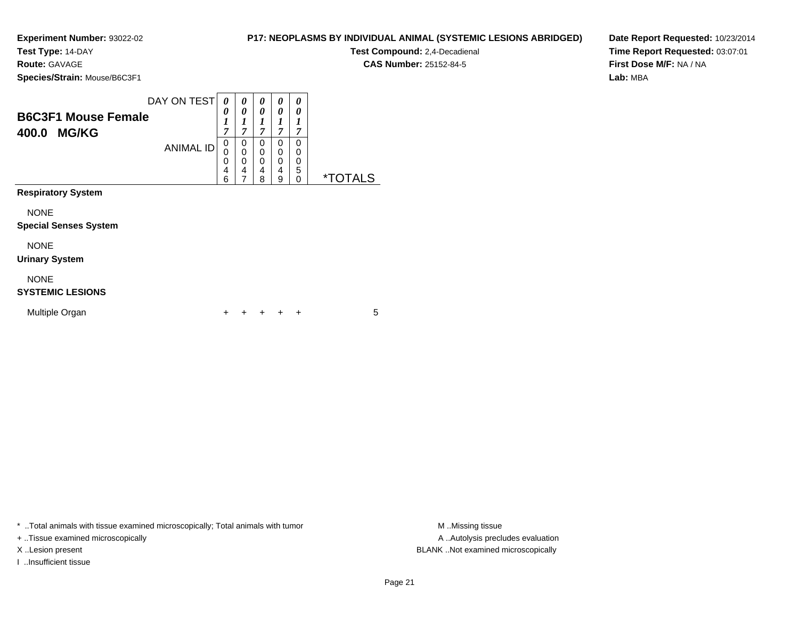**Test Type:** 14-DAY

**Route:** GAVAGE

**Species/Strain:** Mouse/B6C3F1

**Test Compound:** 2,4-Decadienal **CAS Number:** 25152-84-5

**Date Report Requested:** 10/23/2014**Time Report Requested:** 03:07:01**First Dose M/F:** NA / NA**Lab:** MBA

| <b>B6C3F1 Mouse Female</b><br>400.0<br><b>MG/KG</b> | DAY ON TEST<br><b>ANIMAL ID</b> | 0<br>0<br>1<br>7<br>0<br>0<br>0<br>4<br>6 | 0<br>0<br>1<br>7<br>0<br>$\mathbf 0$<br>0<br>4<br>7 | 0<br>0<br>1<br>7<br>$\mathbf 0$<br>$\mathbf 0$<br>$\mathbf 0$<br>4<br>8 | 0<br>0<br>1<br>7<br>0<br>0<br>0<br>4<br>9 | 0<br>0<br>1<br>7<br>$\Omega$<br>0<br>0<br>5<br>$\Omega$ | <i><b>*TOTALS</b></i> |
|-----------------------------------------------------|---------------------------------|-------------------------------------------|-----------------------------------------------------|-------------------------------------------------------------------------|-------------------------------------------|---------------------------------------------------------|-----------------------|
| <b>Respiratory System</b>                           |                                 |                                           |                                                     |                                                                         |                                           |                                                         |                       |
| <b>NONE</b><br><b>Special Senses System</b>         |                                 |                                           |                                                     |                                                                         |                                           |                                                         |                       |
| <b>NONE</b><br><b>Urinary System</b>                |                                 |                                           |                                                     |                                                                         |                                           |                                                         |                       |
| <b>NONE</b><br><b>SYSTEMIC LESIONS</b>              |                                 |                                           |                                                     |                                                                         |                                           |                                                         |                       |
| Multiple Organ                                      |                                 | +                                         |                                                     | ٠                                                                       |                                           | ÷                                                       | 5                     |

\* ..Total animals with tissue examined microscopically; Total animals with tumor **M** . Missing tissue M ..Missing tissue

+ ..Tissue examined microscopically

I ..Insufficient tissue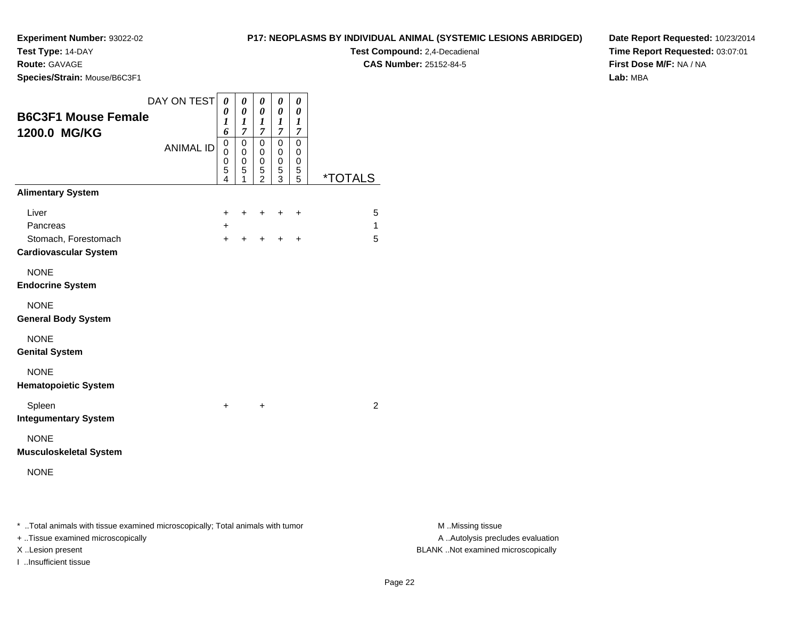**Test Type:** 14-DAY

**Route:** GAVAGE

**Species/Strain:** Mouse/B6C3F1

## **P17: NEOPLASMS BY INDIVIDUAL ANIMAL (SYSTEMIC LESIONS ABRIDGED)**

**Test Compound:** 2,4-Decadienal **CAS Number:** 25152-84-5

**Date Report Requested:** 10/23/2014**Time Report Requested:** 03:07:01**First Dose M/F:** NA / NA**Lab:** MBA

| <b>B6C3F1 Mouse Female</b><br>1200.0 MG/KG           | DAY ON TEST<br><b>ANIMAL ID</b> | $\pmb{\theta}$<br>0<br>1<br>6<br>$\mathsf 0$<br>0<br>0<br>5<br>4 | $\pmb{\theta}$<br>0<br>$\boldsymbol{l}$<br>$\overline{7}$<br>$\mathbf 0$<br>0<br>0<br>5<br>1 | $\boldsymbol{\theta}$<br>0<br>1<br>$\overline{7}$<br>$\pmb{0}$<br>0<br>$\mathbf 0$<br>5<br>$\overline{2}$ | 0<br>0<br>1<br>$\overline{7}$<br>0<br>0<br>$\,0\,$<br>5<br>$\overline{3}$ | 0<br>$\boldsymbol{\theta}$<br>1<br>$\overline{7}$<br>$\mathbf 0$<br>0<br>0<br>5<br>5 | <i><b>*TOTALS</b></i> |
|------------------------------------------------------|---------------------------------|------------------------------------------------------------------|----------------------------------------------------------------------------------------------|-----------------------------------------------------------------------------------------------------------|---------------------------------------------------------------------------|--------------------------------------------------------------------------------------|-----------------------|
| <b>Alimentary System</b>                             |                                 |                                                                  |                                                                                              |                                                                                                           |                                                                           |                                                                                      |                       |
| Liver<br>Pancreas                                    |                                 | +                                                                | +                                                                                            | +                                                                                                         | +                                                                         | +                                                                                    | 5<br>1                |
| Stomach, Forestomach<br><b>Cardiovascular System</b> |                                 | $\ddot{}$<br>$\ddot{}$                                           | $\ddot{}$                                                                                    |                                                                                                           | ÷                                                                         | $\ddot{}$                                                                            | 5                     |
| <b>NONE</b><br><b>Endocrine System</b>               |                                 |                                                                  |                                                                                              |                                                                                                           |                                                                           |                                                                                      |                       |
| <b>NONE</b><br><b>General Body System</b>            |                                 |                                                                  |                                                                                              |                                                                                                           |                                                                           |                                                                                      |                       |
| <b>NONE</b><br><b>Genital System</b>                 |                                 |                                                                  |                                                                                              |                                                                                                           |                                                                           |                                                                                      |                       |
| <b>NONE</b><br><b>Hematopoietic System</b>           |                                 |                                                                  |                                                                                              |                                                                                                           |                                                                           |                                                                                      |                       |
| Spleen<br><b>Integumentary System</b>                |                                 | $\ddot{}$                                                        |                                                                                              | $\ddot{}$                                                                                                 |                                                                           |                                                                                      | $\overline{2}$        |
| <b>NONE</b><br><b>Musculoskeletal System</b>         |                                 |                                                                  |                                                                                              |                                                                                                           |                                                                           |                                                                                      |                       |
| <b>NONE</b>                                          |                                 |                                                                  |                                                                                              |                                                                                                           |                                                                           |                                                                                      |                       |
|                                                      |                                 |                                                                  |                                                                                              |                                                                                                           |                                                                           |                                                                                      |                       |

\* ..Total animals with tissue examined microscopically; Total animals with tumor **M** . Missing tissue M ..Missing tissue

+ ..Tissue examined microscopically

I ..Insufficient tissue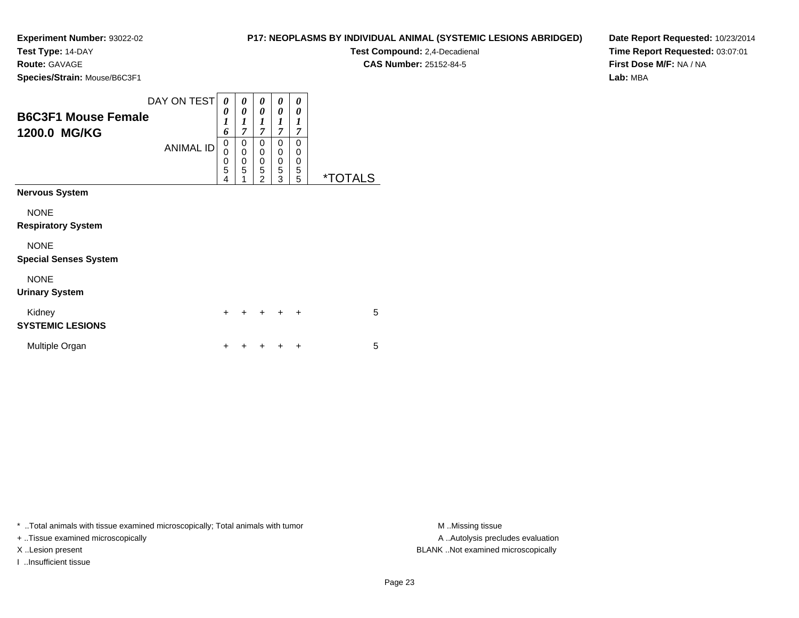**Test Type:** 14-DAY

**Route:** GAVAGE

**Species/Strain:** Mouse/B6C3F1

| <b>P17: NEOPLASMS BY INDIVIDUAL ANIMAL (SYSTEMIC LESIONS ABRIDGED)</b> |  |
|------------------------------------------------------------------------|--|
|------------------------------------------------------------------------|--|

**Test Compound:** 2,4-Decadienal **CAS Number:** 25152-84-5

**Date Report Requested:** 10/23/2014**Time Report Requested:** 03:07:01**First Dose M/F:** NA / NA**Lab:** MBA

| DAY ON TEST<br><b>B6C3F1 Mouse Female</b>   |                  | 0<br>0           | 0<br>0                               | 0<br>0                                  | 0<br>0                          | 0<br>0                     |                       |
|---------------------------------------------|------------------|------------------|--------------------------------------|-----------------------------------------|---------------------------------|----------------------------|-----------------------|
| 1200.0 MG/KG                                |                  | 1<br>6<br>0      | 1<br>$\overline{7}$<br>$\mathbf 0$   | 1<br>$\overline{7}$<br>0                | 1<br>$\overline{7}$<br>0        | 1<br>7<br>$\Omega$         |                       |
|                                             | <b>ANIMAL ID</b> | 0<br>0<br>5<br>4 | $\mathbf 0$<br>$\mathbf 0$<br>5<br>1 | 0<br>$\mathbf 0$<br>5<br>$\mathfrak{p}$ | 0<br>$\boldsymbol{0}$<br>5<br>3 | 0<br>$\mathbf 0$<br>5<br>5 | <i><b>*TOTALS</b></i> |
| <b>Nervous System</b>                       |                  |                  |                                      |                                         |                                 |                            |                       |
| <b>NONE</b><br><b>Respiratory System</b>    |                  |                  |                                      |                                         |                                 |                            |                       |
| <b>NONE</b><br><b>Special Senses System</b> |                  |                  |                                      |                                         |                                 |                            |                       |
| <b>NONE</b><br><b>Urinary System</b>        |                  |                  |                                      |                                         |                                 |                            |                       |
| Kidney<br><b>SYSTEMIC LESIONS</b>           |                  | $\ddot{}$        | $\ddot{}$                            | $\div$                                  | $\div$                          | $\ddot{}$                  | 5                     |
| Multiple Organ                              |                  |                  |                                      |                                         |                                 | +                          | 5                     |

\* ..Total animals with tissue examined microscopically; Total animals with tumor **M** ..Missing tissue M ..Missing tissue

+ ..Tissue examined microscopically

I ..Insufficient tissue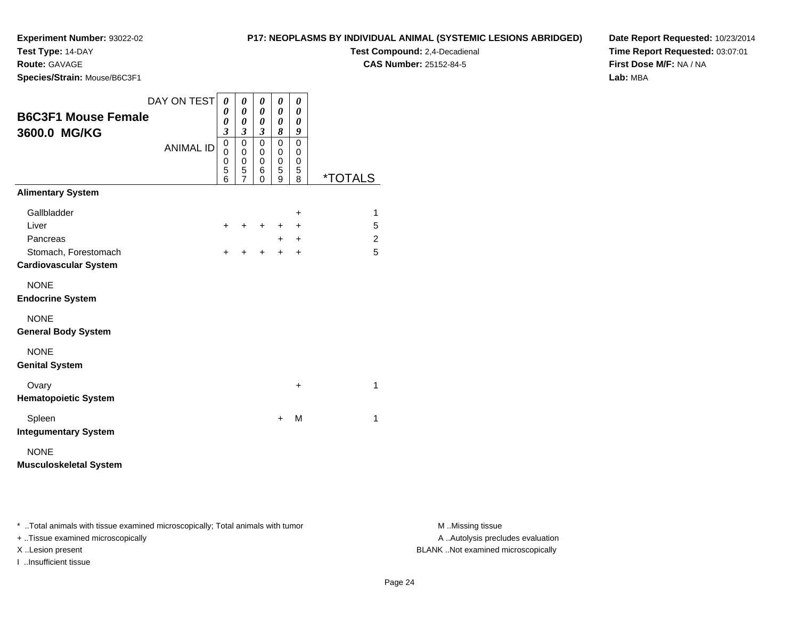**Test Type:** 14-DAY

**Route:** GAVAGE

**Species/Strain:** Mouse/B6C3F1

**Test Compound:** 2,4-Decadienal

**CAS Number:** 25152-84-5

**Date Report Requested:** 10/23/2014**Time Report Requested:** 03:07:01**First Dose M/F:** NA / NA**Lab:** MBA

| <b>B6C3F1 Mouse Female</b><br>3600.0 MG/KG                       | DAY ON TEST      | 0<br>0<br>0<br>$\overline{\mathbf{3}}$ | $\pmb{\theta}$<br>$\boldsymbol{\theta}$<br>$\boldsymbol{\theta}$<br>$\boldsymbol{\beta}$ | 0<br>0<br>0<br>$\overline{\mathbf{3}}$ | 0<br>$\theta$<br>0<br>8         | 0<br>0<br>0<br>9                       |                       |
|------------------------------------------------------------------|------------------|----------------------------------------|------------------------------------------------------------------------------------------|----------------------------------------|---------------------------------|----------------------------------------|-----------------------|
|                                                                  | <b>ANIMAL ID</b> | $\mathbf 0$<br>0<br>0<br>5<br>6        | $\mathbf 0$<br>$\mathbf 0$<br>0<br>5<br>$\overline{7}$                                   | $\mathbf 0$<br>0<br>0<br>6<br>0        | $\mathbf 0$<br>0<br>0<br>5<br>9 | $\Omega$<br>$\mathbf 0$<br>0<br>5<br>8 | <i><b>*TOTALS</b></i> |
| <b>Alimentary System</b>                                         |                  |                                        |                                                                                          |                                        |                                 |                                        |                       |
| Gallbladder<br>Liver                                             |                  | $\ddot{}$                              | $\ddot{}$                                                                                | ÷                                      | ٠                               | +<br>$\ddot{}$                         | 1<br>5                |
| Pancreas<br>Stomach, Forestomach<br><b>Cardiovascular System</b> |                  | +                                      | ÷                                                                                        | +                                      | ٠<br>$\div$                     | $\ddot{}$<br>$\ddot{}$                 | 2<br>5                |
| <b>NONE</b><br><b>Endocrine System</b>                           |                  |                                        |                                                                                          |                                        |                                 |                                        |                       |
| <b>NONE</b><br><b>General Body System</b>                        |                  |                                        |                                                                                          |                                        |                                 |                                        |                       |
| <b>NONE</b><br><b>Genital System</b>                             |                  |                                        |                                                                                          |                                        |                                 |                                        |                       |
| Ovary<br><b>Hematopoietic System</b>                             |                  |                                        |                                                                                          |                                        |                                 | +                                      | 1                     |
| Spleen<br><b>Integumentary System</b>                            |                  |                                        |                                                                                          |                                        | $\ddot{}$                       | М                                      | $\mathbf{1}$          |
| <b>NONE</b><br><b>Musculoskeletal System</b>                     |                  |                                        |                                                                                          |                                        |                                 |                                        |                       |

\* ..Total animals with tissue examined microscopically; Total animals with tumor **M** . Missing tissue M ..Missing tissue

+ ..Tissue examined microscopically

I ..Insufficient tissue